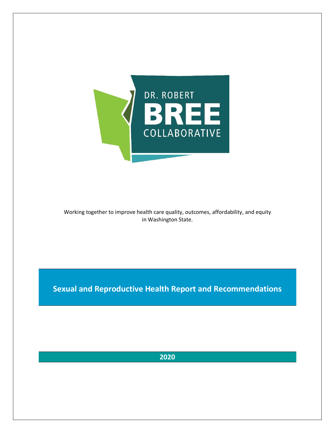

Working together to improve health care quality, outcomes, affordability, and equity in Washington State.

**Sexual and Reproductive Health Report and Recommendations**

**2020**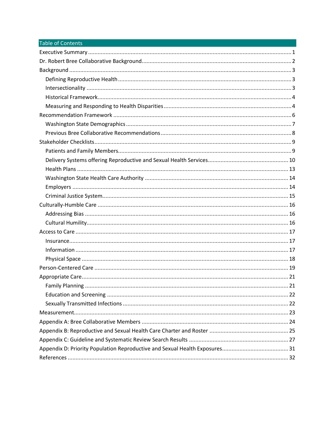| <b>Table of Contents</b> |
|--------------------------|
|                          |
|                          |
|                          |
|                          |
|                          |
|                          |
|                          |
|                          |
|                          |
|                          |
|                          |
|                          |
|                          |
|                          |
|                          |
|                          |
|                          |
|                          |
|                          |
|                          |
|                          |
|                          |
|                          |
|                          |
|                          |
|                          |
|                          |
|                          |
|                          |
|                          |
|                          |
|                          |
|                          |
|                          |
|                          |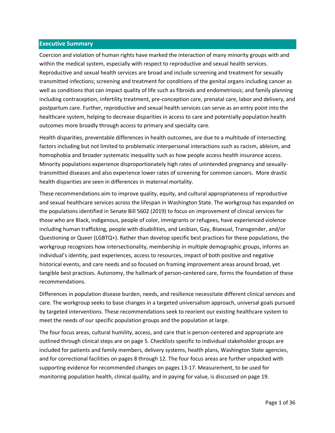#### <span id="page-2-0"></span>**Executive Summary**

Coercion and violation of human rights have marked the interaction of many minority groups with and within the medical system, especially with respect to reproductive and sexual health services. Reproductive and sexual health services are broad and include screening and treatment for sexually transmitted infections; screening and treatment for conditions of the genital organs including cancer as well as conditions that can impact quality of life such as fibroids and endometriosis; and family planning including contraception, infertility treatment, pre-conception care, prenatal care, labor and delivery, and postpartum care. Further, reproductive and sexual health services can serve as an entry point into the healthcare system, helping to decrease disparities in access to care and potentially population health outcomes more broadly through access to primary and specialty care.

Health disparities, preventable differences in health outcomes, are due to a multitude of intersecting factors including but not limited to problematic interpersonal interactions such as racism, ableism, and homophobia and broader systematic inequality such as how people access health insurance access. Minority populations experience disproportionately high rates of unintended pregnancy and sexuallytransmitted diseases and also experience lower rates of screening for common cancers. More drastic health disparities are seen in differences in maternal mortality.

These recommendations aim to improve quality, equity, and cultural appropriateness of reproductive and sexual healthcare services across the lifespan in Washington State. The workgroup has expanded on the populations identified in Senate Bill 5602 (2019) to focus on improvement of clinical services for those who are Black, indigenous, people of color, immigrants or refugees, have experienced violence including human trafficking, people with disabilities, and Lesbian, Gay, Bisexual, Transgender, and/or Questioning or Queer (LGBTQ+). Rather than develop specific best practices for these populations, the workgroup recognizes how intersectionality, membership in multiple demographic groups, informs an individual's identity, past experiences, access to resources, impact of both positive and negative historical events, and care needs and so focused on framing improvement areas around broad, yet tangible best practices. Autonomy, the hallmark of person-centered care, forms the foundation of these recommendations.

Differences in population disease burden, needs, and resilience necessitate different clinical services and care. The workgroup seeks to base changes in a targeted universalism approach, universal goals pursued by targeted interventions. These recommendations seek to reorient our existing healthcare system to meet the needs of our specific population groups and the population at large.

The four focus areas, cultural humility, access, and care that is person-centered and appropriate are outlined through clinical steps are on page 5. Checklists specific to individual stakeholder groups are included for patients and family members, delivery systems, health plans, Washington State agencies, and for correctional facilities on pages 8 through 12. The four focus areas are further unpacked with supporting evidence for recommended changes on pages 13-17. Measurement, to be used for monitoring population health, clinical quality, and in paying for value, is discussed on page 19.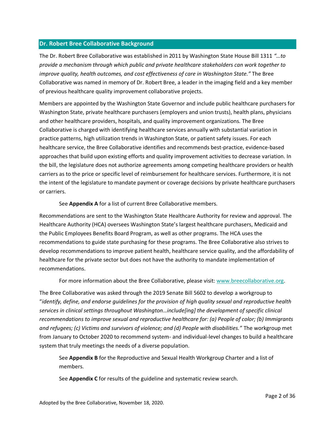## <span id="page-3-0"></span>**Dr. Robert Bree Collaborative Background**

The Dr. Robert Bree Collaborative was established in 2011 by Washington State House Bill 1311 *"…to provide a mechanism through which public and private healthcare stakeholders can work together to improve quality, health outcomes, and cost effectiveness of care in Washington State."* The Bree Collaborative was named in memory of Dr. Robert Bree, a leader in the imaging field and a key member of previous healthcare quality improvement collaborative projects.

Members are appointed by the Washington State Governor and include public healthcare purchasers for Washington State, private healthcare purchasers (employers and union trusts), health plans, physicians and other healthcare providers, hospitals, and quality improvement organizations. The Bree Collaborative is charged with identifying healthcare services annually with substantial variation in practice patterns, high utilization trends in Washington State, or patient safety issues. For each healthcare service, the Bree Collaborative identifies and recommends best-practice, evidence-based approaches that build upon existing efforts and quality improvement activities to decrease variation. In the bill, the legislature does not authorize agreements among competing healthcare providers or health carriers as to the price or specific level of reimbursement for healthcare services. Furthermore, it is not the intent of the legislature to mandate payment or coverage decisions by private healthcare purchasers or carriers.

See **Appendix A** for a list of current Bree Collaborative members.

Recommendations are sent to the Washington State Healthcare Authority for review and approval. The Healthcare Authority (HCA) oversees Washington State's largest healthcare purchasers, Medicaid and the Public Employees Benefits Board Program, as well as other programs. The HCA uses the recommendations to guide state purchasing for these programs. The Bree Collaborative also strives to develop recommendations to improve patient health, healthcare service quality, and the affordability of healthcare for the private sector but does not have the authority to mandate implementation of recommendations.

For more information about the Bree Collaborative, please visit: [www.breecollaborative.org.](http://www.breecollaborative.org/)

The Bree Collaborative was asked through the 2019 Senate Bill 5602 to develop a workgroup to "*identify, define, and endorse guidelines for the provision of high quality sexual and reproductive health services in clinical settings throughout Washington…include[ing] the development of specific clinical recommendations to improve sexual and reproductive healthcare for: (a) People of color; (b) Immigrants and refugees; (c) Victims and survivors of violence; and (d) People with disabilities."* The workgroup met from January to October 2020 to recommend system- and individual-level changes to build a healthcare system that truly meetings the needs of a diverse population.

See **Appendix B** for the Reproductive and Sexual Health Workgroup Charter and a list of members.

See **Appendix C** for results of the guideline and systematic review search.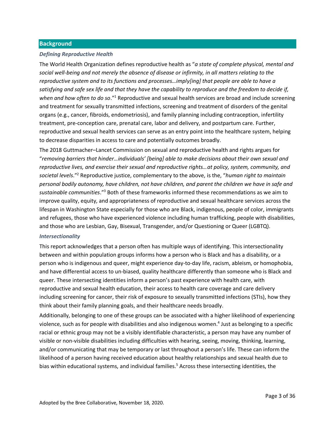#### <span id="page-4-0"></span>**Background**

#### <span id="page-4-1"></span>*Defining Reproductive Health*

The World Health Organization defines reproductive health as "*a state of complete physical, mental and social well-being and not merely the absence of disease or infirmity, in all matters relating to the reproductive system and to its functions and processes…imply[ing] that people are able to have a satisfying and safe sex life and that they have the capability to reproduce and the freedom to decide if, when and how often to do so*."<sup>1</sup> Reproductive and sexual health services are broad and include screening and treatment for sexually transmitted infections, screening and treatment of disorders of the genital organs (e.g., cancer, fibroids, endometriosis), and family planning including contraception, infertility treatment, pre-conception care, prenatal care, labor and delivery, and postpartum care. Further, reproductive and sexual health services can serve as an entry point into the healthcare system, helping to decrease disparities in access to care and potentially outcomes broadly.

The 2018 Guttmacher–Lancet Commission on sexual and reproductive health and rights argues for "*removing barriers that hinder…individuals' [being] able to make decisions about their own sexual and reproductive lives, and exercise their sexual and reproductive rights…at policy, system, community, and societal levels*."<sup>2</sup> Reproductive justice, complementary to the above, is the, "*human right to maintain personal bodily autonomy, have children, not have children, and parent the children we have in safe and sustainable communities*."<sup>3</sup> Both of these frameworks informed these recommendations as we aim to improve quality, equity, and appropriateness of reproductive and sexual healthcare services across the lifespan in Washington State especially for those who are Black, indigenous, people of color, immigrants and refugees, those who have experienced violence including human trafficking, people with disabilities, and those who are Lesbian, Gay, Bisexual, Transgender, and/or Questioning or Queer (LGBTQ).

#### <span id="page-4-2"></span>*Intersectionality*

This report acknowledges that a person often has multiple ways of identifying. This intersectionality between and within population groups informs how a person who is Black and has a disability, or a person who is indigenous and queer, might experience day-to-day life, racism, ableism, or homophobia, and have differential access to un-biased, quality healthcare differently than someone who is Black and queer. These intersecting identities inform a person's past experience with health care, with reproductive and sexual health education, their access to health care coverage and care delivery including screening for cancer, their risk of exposure to sexually transmitted infections (STIs), how they think about their family planning goals, and their healthcare needs broadly.

Additionally, belonging to one of these groups can be associated with a higher likelihood of experiencing violence, such as for people with disabilities and also indigenous women.<sup>4</sup> Just as belonging to a specific racial or ethnic group may not be a visibly identifiable characteristic, a person may have any number of visible or non-visible disabilities including difficulties with hearing, seeing, moving, thinking, learning, and/or communicating that may be temporary or last throughout a person's life. These can inform the likelihood of a person having received education about healthy relationships and sexual health due to bias within educational systems, and individual families.<sup>5</sup> Across these intersecting identities, the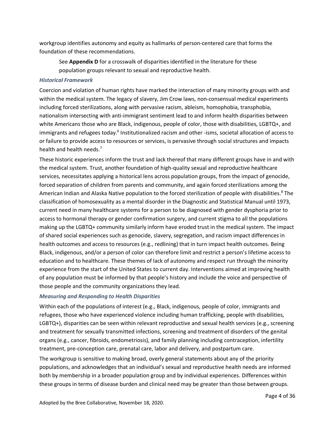workgroup identifies autonomy and equity as hallmarks of person-centered care that forms the foundation of these recommendations.

See **Appendix D** for a crosswalk of disparities identified in the literature for these population groups relevant to sexual and reproductive health.

## <span id="page-5-0"></span>*Historical Framework*

Coercion and violation of human rights have marked the interaction of many minority groups with and within the medical system. The legacy of slavery, Jim Crow laws, non-consensual medical experiments including forced sterilizations, along with pervasive racism, ableism, homophobia, transphobia, nationalism intersecting with anti-immigrant sentiment lead to and inform health disparities between white Americans those who are Black, indigenous, people of color, those with disabilities, LGBTQ+, and immigrants and refugees today.<sup>6</sup> Institutionalized racism and other -isms, societal allocation of access to or failure to provide access to resources or services, is pervasive through social structures and impacts health and health needs.<sup>7</sup>

These historic experiences inform the trust and lack thereof that many different groups have in and with the medical system. Trust, another foundation of high-quality sexual and reproductive healthcare services, necessitates applying a historical lens across population groups, from the impact of genocide, forced separation of children from parents and community, and again forced sterilizations among the American Indian and Alaska Native population to the forced sterilization of people with disabilities.<sup>8</sup> The classification of homosexuality as a mental disorder in the Diagnostic and Statistical Manual until 1973, current need in many healthcare systems for a person to be diagnosed with gender dysphoria prior to access to hormonal therapy or gender confirmation surgery, and current stigma to all the populations making up the LGBTQ+ community similarly inform have eroded trust in the medical system. The impact of shared social experiences such as genocide, slavery, segregation, and racism impact differences in health outcomes and access to resources (e.g., redlining) that in turn impact health outcomes. Being Black, indigenous, and/or a person of color can therefore limit and restrict a person's lifetime access to education and to healthcare. These themes of lack of autonomy and respect run through the minority experience from the start of the United States to current day. Interventions aimed at improving health of any population must be informed by that people's history and include the voice and perspective of those people and the community organizations they lead.

## <span id="page-5-1"></span>*Measuring and Responding to Health Disparities*

Within each of the populations of interest (e.g., Black, indigenous, people of color, immigrants and refugees, those who have experienced violence including human trafficking, people with disabilities, LGBTQ+), disparities can be seen within relevant reproductive and sexual health services (e.g., screening and treatment for sexually transmitted infections, screening and treatment of disorders of the genital organs (e.g., cancer, fibroids, endometriosis), and family planning including contraception, infertility treatment, pre-conception care, prenatal care, labor and delivery, and postpartum care.

The workgroup is sensitive to making broad, overly general statements about any of the priority populations, and acknowledges that an individual's sexual and reproductive health needs are informed both by membership in a broader population group and by individual experiences. Differences within these groups in terms of disease burden and clinical need may be greater than those between groups.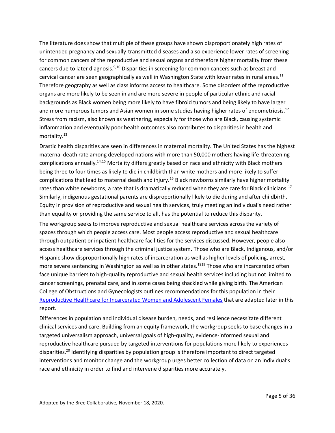The literature does show that multiple of these groups have shown disproportionately high rates of unintended pregnancy and sexually-transmitted diseases and also experience lower rates of screening for common cancers of the reproductive and sexual organs and therefore higher mortality from these cancers due to later diagnosis.<sup>9,10</sup> Disparities in screening for common cancers such as breast and cervical cancer are seen geographically as well in Washington State with lower rates in rural areas.<sup>11</sup> Therefore geography as well as class informs access to healthcare. Some disorders of the reproductive organs are more likely to be seen in and are more severe in people of particular ethnic and racial backgrounds as Black women being more likely to have fibroid tumors and being likely to have larger and more numerous tumors and Asian women in some studies having higher rates of endometriosis.<sup>12</sup> Stress from racism, also known as weathering, especially for those who are Black, causing systemic inflammation and eventually poor health outcomes also contributes to disparities in health and mortality.<sup>13</sup>

Drastic health disparities are seen in differences in maternal mortality. The United States has the highest maternal death rate among developed nations with more than 50,000 mothers having life-threatening complications annually.14,15 Mortality differs greatly based on race and ethnicity with Black mothers being three to four times as likely to die in childbirth than white mothers and more likely to suffer complications that lead to maternal death and injury.<sup>16</sup> Black newborns similarly have higher mortality rates than white newborns, a rate that is dramatically reduced when they are care for Black clinicians.<sup>17</sup> Similarly, indigenous gestational parents are disproportionally likely to die during and after childbirth. Equity in provision of reproductive and sexual health services, truly meeting an individual's need rather than equality or providing the same service to all, has the potential to reduce this disparity.

The workgroup seeks to improve reproductive and sexual healthcare services across the variety of spaces through which people access care. Most people access reproductive and sexual healthcare through outpatient or inpatient healthcare facilities for the services discussed. However, people also access healthcare services through the criminal justice system. Those who are Black, Indigenous, and/or Hispanic show disproportionally high rates of incarceration as well as higher levels of policing, arrest, more severe sentencing in Washington as well as in other states.<sup>1819</sup> Those who are incarcerated often face unique barriers to high-quality reproductive and sexual health services including but not limited to cancer screenings, prenatal care, and in some cases being shackled while giving birth. The American College of Obstructions and Gynecologists outlines recommendations for this population in their Reproductive Healthcare [for Incarcerated Women and Adolescent Females](https://www.acog.org/clinical/clinical-guidance/committee-opinion/articles/2012/08/reproductive-health-care-for-incarcerated-women-and-adolescent-females#:~:text=Incarcerated%20women%20of%20all%20ages,and%20abortion%20services%209%2010.&text=Incarcerated%20women%20and%20adolescents) that are adapted later in this report.

Differences in population and individual disease burden, needs, and resilience necessitate different clinical services and care. Building from an equity framework, the workgroup seeks to base changes in a targeted universalism approach, universal goals of high-quality, evidence-informed sexual and reproductive healthcare pursued by targeted interventions for populations more likely to experiences disparities. <sup>20</sup> Identifying disparities by population group is therefore important to direct targeted interventions and monitor change and the workgroup urges better collection of data on an individual's race and ethnicity in order to find and intervene disparities more accurately.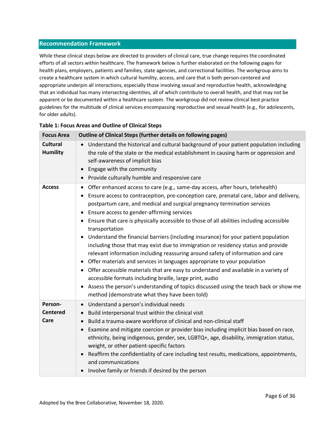#### <span id="page-7-0"></span>**Recommendation Framework**

While these clinical steps below are directed to providers of clinical care, true change requires the coordinated efforts of all sectors within healthcare. The framework below is further elaborated on the following pages for health plans, employers, patients and families, state agencies, and correctional facilities. The workgroup aims to create a healthcare system in which cultural humility, access, and care that is both person-centered and appropriate underpin all interactions, especially those involving sexual and reproductive health, acknowledging that an individual has many intersecting identities, all of which contribute to overall health, and that may not be apparent or be documented within a healthcare system. The workgroup did not review clinical best practice guidelines for the multitude of clinical services encompassing reproductive and sexual health (e.g., for adolescents, for older adults).

| <b>Focus Area</b>                  | <b>Outline of Clinical Steps (further details on following pages)</b>                                                                                                                                                                                                                                                                                                                                                                                                                                                                                                                                                                                                                                                                                                                                                                                                                                                                                                                                                                                                                                                         |
|------------------------------------|-------------------------------------------------------------------------------------------------------------------------------------------------------------------------------------------------------------------------------------------------------------------------------------------------------------------------------------------------------------------------------------------------------------------------------------------------------------------------------------------------------------------------------------------------------------------------------------------------------------------------------------------------------------------------------------------------------------------------------------------------------------------------------------------------------------------------------------------------------------------------------------------------------------------------------------------------------------------------------------------------------------------------------------------------------------------------------------------------------------------------------|
| <b>Cultural</b><br><b>Humility</b> | Understand the historical and cultural background of your patient population including<br>the role of the state or the medical establishment in causing harm or oppression and<br>self-awareness of implicit bias<br>Engage with the community<br>Provide culturally humble and responsive care<br>$\bullet$                                                                                                                                                                                                                                                                                                                                                                                                                                                                                                                                                                                                                                                                                                                                                                                                                  |
| <b>Access</b>                      | Offer enhanced access to care (e.g., same-day access, after hours, telehealth)<br>$\bullet$<br>Ensure access to contraception, pre-conception care, prenatal care, labor and delivery,<br>postpartum care, and medical and surgical pregnancy termination services<br>Ensure access to gender-affirming services<br>$\bullet$<br>Ensure that care is physically accessible to those of all abilities including accessible<br>$\bullet$<br>transportation<br>Understand the financial barriers (including insurance) for your patient population<br>$\bullet$<br>including those that may exist due to immigration or residency status and provide<br>relevant information including reassuring around safety of information and care<br>Offer materials and services in languages appropriate to your population<br>• Offer accessible materials that are easy to understand and available in a variety of<br>accessible formats including braille, large print, audio<br>Assess the person's understanding of topics discussed using the teach back or show me<br>$\bullet$<br>method (demonstrate what they have been told) |
| Person-<br><b>Centered</b><br>Care | Understand a person's individual needs<br>Build interpersonal trust within the clinical visit<br>$\bullet$<br>Build a trauma-aware workforce of clinical and non-clinical staff<br>Examine and mitigate coercion or provider bias including implicit bias based on race,<br>$\bullet$<br>ethnicity, being indigenous, gender, sex, LGBTQ+, age, disability, immigration status,<br>weight, or other patient-specific factors<br>Reaffirm the confidentiality of care including test results, medications, appointments,<br>and communications<br>Involve family or friends if desired by the person                                                                                                                                                                                                                                                                                                                                                                                                                                                                                                                           |

#### **Table 1: Focus Areas and Outline of Clinical Steps**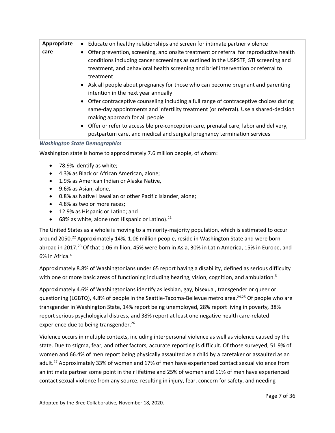| Appropriate | • Educate on healthy relationships and screen for intimate partner violence                                                                                                                                                                                                     |
|-------------|---------------------------------------------------------------------------------------------------------------------------------------------------------------------------------------------------------------------------------------------------------------------------------|
| care        | • Offer prevention, screening, and onsite treatment or referral for reproductive health<br>conditions including cancer screenings as outlined in the USPSTF, STI screening and<br>treatment, and behavioral health screening and brief intervention or referral to<br>treatment |
|             | • Ask all people about pregnancy for those who can become pregnant and parenting<br>intention in the next year annually                                                                                                                                                         |
|             | • Offer contraceptive counseling including a full range of contraceptive choices during<br>same-day appointments and infertility treatment (or referral). Use a shared-decision<br>making approach for all people                                                               |
|             | • Offer or refer to accessible pre-conception care, prenatal care, labor and delivery,<br>postpartum care, and medical and surgical pregnancy termination services                                                                                                              |

## <span id="page-8-0"></span>*Washington State Demographics*

Washington state is home to approximately 7.6 million people, of whom:

- 78.9% identify as white;
- 4.3% as Black or African American, alone;
- 1.9% as American Indian or Alaska Native,
- 9.6% as Asian, alone,
- 0.8% as Native Hawaiian or other Pacific Islander, alone;
- 4.8% as two or more races;
- 12.9% as Hispanic or Latino; and
- 68% as white, alone (not Hispanic or Latino). $21$

The United States as a whole is moving to a minority-majority population, which is estimated to occur around 2050.<sup>22</sup> Approximately 14%, 1.06 million people, reside in Washington State and were born abroad in 2017.<sup>23</sup> Of that 1.06 million, 45% were born in Asia, 30% in Latin America, 15% in Europe, and 6% in Africa.<sup>4</sup>

Approximately 8.8% of Washingtonians under 65 report having a disability, defined as serious difficulty with one or more basic areas of functioning including hearing, vision, cognition, and ambulation.<sup>3</sup>

Approximately 4.6% of Washingtonians identify as lesbian, gay, bisexual, transgender or queer or questioning (LGBTQ), 4.8% of people in the Seattle-Tacoma-Bellevue metro area.<sup>24,25</sup> Of people who are transgender in Washington State, 14% report being unemployed, 28% report living in poverty, 38% report serious psychological distress, and 38% report at least one negative health care-related experience due to being transgender.<sup>26</sup>

Violence occurs in multiple contexts, including interpersonal violence as well as violence caused by the state. Due to stigma, fear, and other factors, accurate reporting is difficult. Of those surveyed, 51.9% of women and 66.4% of men report being physically assaulted as a child by a caretaker or assaulted as an adult.<sup>27</sup> Approximately 33% of women and 17% of men have experienced contact sexual violence from an intimate partner some point in their lifetime and 25% of women and 11% of men have experienced contact sexual violence from any source, resulting in injury, fear, concern for safety, and needing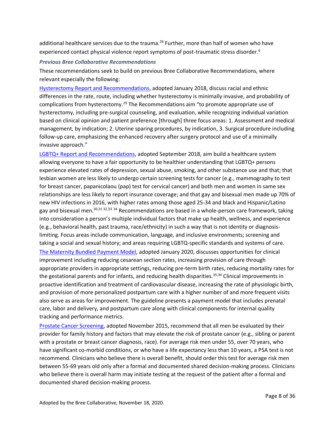additional healthcare services due to the trauma.<sup>28</sup> Further, more than half of women who have experienced contact physical violence report symptoms of post-traumatic stress disorder.<sup>6</sup>

#### <span id="page-9-0"></span>*Previous Bree Collaborative Recommendations*

These recommendations seek to build on previous Bree Collaborative Recommendations, where relevant especially the following:

[Hysterectomy Report and Recommendations,](http://www.breecollaborative.org/wp-content/uploads/Hysterectomy-Final-Report-2018.pdf) adopted January 2018, discuss racial and ethnic differences in the rate, route, including whether hysterectomy is minimally invasive, and probability of complications from hysterectomy.<sup>29</sup> The Recommendations aim "to promote appropriate use of hysterectomy, including pre-surgical counseling, and evaluation, while recognizing individual variation based on clinical opinion and patient preference [through] three focus areas: 1. Assessment and medical management, by indication; 2. Uterine sparing procedures, by indication, 3. Surgical procedure including follow-up care, emphasizing the enhanced recovery after surgery protocol and use of a minimally invasive approach."

LGBTQ+ [Report and Recommendations,](http://www.breecollaborative.org/wp-content/uploads/LGBTQ-health-care-recommendations-Final-20-02.pdf) adopted September 2018, aim build a healthcare system allowing everyone to have a fair opportunity to be healthier understanding that LGBTQ+ persons experience elevated rates of depression, sexual abuse, smoking, and other substance use and that; that lesbian women are less likely to undergo certain screening tests for cancer (e.g., mammography to test for breast cancer, papanicolaou (pap) test for cervical cancer) and both men and women in same sex relationships are less likely to report insurance coverage; and that gay and bisexual men made up 70% of new HIV infections in 2016, with higher rates among those aged 25-34 and black and Hispanic/Latino gay and bisexual men.<sup>30,31 32,33</sup> <sup>34</sup> Recommendations are based in a whole-person care framework, taking into consideration a person's multiple individual factors that make up health, wellness, and experience (e.g., behavioral health, past trauma, race/ethnicity) in such a way that is not identity or diagnosislimiting. Focus areas include communication, language, and inclusive environments; screening and taking a social and sexual history; and areas requiring LGBTQ-specific standards and systems of care. [The Maternity Bundled Payment Model,](http://www.breecollaborative.org/wp-content/uploads/Maternity-Bundle-FINAL-2020.pdf) adopted January 2020, discusses opportunities for clinical improvement including reducing cesarean section rates, increasing provision of care through appropriate providers in appropriate settings, reducing pre-term birth rates, reducing mortality rates for the gestational parents and for infants, and reducing health disparities.<sup>35,36</sup> Clinical improvements in proactive identification and treatment of cardiovascular disease, increasing the rate of physiologic birth, and provision of more personalized postpartum care with a higher number of and more frequent visits also serve as areas for improvement. The guideline presents a payment model that includes prenatal care, labor and delivery, and postpartum care along with clinical components for internal quality tracking and performance metrics.

[Prostate Cancer Screening,](http://www.breecollaborative.org/wp-content/uploads/Prostate-Cancer-Recommendations-Final-15-11.pdf) adopted November 2015, recommend that all men be evaluated by their provider for family history and factors that may elevate the risk of prostate cancer (e.g., sibling or parent with a prostate or breast cancer diagnosis, race). For average risk men under 55, over 70 years, who have significant co-morbid conditions, or who have a life expectancy less than 10 years, a PSA test is not recommend. Clinicians who believe there is overall benefit, should order this test for average risk men between 55-69 years old only after a formal and documented shared decision-making process. Clinicians who believe there is overall harm may initiate testing at the request of the patient after a formal and documented shared decision-making process.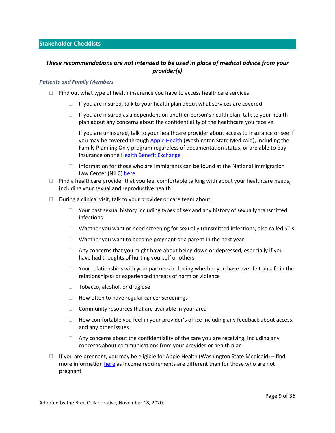## <span id="page-10-0"></span>**Stakeholder Checklists**

## *These recommendations are not intended to be used in place of medical advice from your provider(s)*

#### <span id="page-10-1"></span>*Patients and Family Members*

- $\Box$  Find out what type of health insurance you have to access healthcare services
	- $\Box$  If you are insured, talk to your health plan about what services are covered
	- $\Box$  If you are insured as a dependent on another person's health plan, talk to your health plan about any concerns about the confidentiality of the healthcare you receive
	- $\Box$  If you are uninsured, talk to your healthcare provider about access to insurance or see if you may be covered through [Apple Health](https://www.hca.wa.gov/health-care-services-supports/apple-health-medicaid-coverage/non-citizens) (Washington State Medicaid), including the Family Planning Only program regardless of documentation status, or are able to buy insurance on the [Health Benefit Exchange](https://www.wahbexchange.org/)
	- $\Box$  Information for those who are immigrants can be found at the National Immigration Law Center (NILC[\) here](https://www.nilc.org/issues/immigrationenforcement/healthcare-provider-and-patients-rights-imm-enf/)
- $\Box$  Find a healthcare provider that you feel comfortable talking with about your healthcare needs, including your sexual and reproductive health
- $\Box$  During a clinical visit, talk to your provider or care team about:
	- $\Box$  Your past sexual history including types of sex and any history of sexually transmitted infections.
	- $\Box$  Whether you want or need screening for sexually transmitted infections, also called STIs
	- $\Box$  Whether you want to become pregnant or a parent in the next year
	- $\Box$  Any concerns that you might have about being down or depressed, especially if you have had thoughts of hurting yourself or others
	- $\Box$  Your relationships with your partners including whether you have ever felt unsafe in the relationship(s) or experienced threats of harm or violence
	- $\Box$  Tobacco, alcohol, or drug use
	- $\Box$  How often to have regular cancer screenings
	- $\Box$  Community resources that are available in your area
	- $\Box$  How comfortable you feel in your provider's office including any feedback about access, and any other issues
	- $\Box$  Any concerns about the confidentiality of the care you are receiving, including any concerns about communications from your provider or health plan
- $\Box$  If you are pregnant, you may be eligible for Apple Health (Washington State Medicaid) find more information [here](https://www.hca.wa.gov/health-care-services-and-supports/apple-health-medicaid-coverage/pregnant-individuals) as income requirements are different than for those who are not pregnant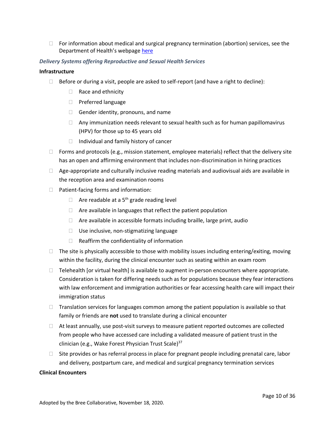$\Box$  For information about medical and surgical pregnancy termination (abortion) services, see the Department of Health's webpage [here](https://www.doh.wa.gov/YouandYourFamily/FamilyPlanning/Abortion#:~:text=Washington%20State%20recognizes%20that%20people,100%20and%2048.43.)

#### <span id="page-11-0"></span>*Delivery Systems offering Reproductive and Sexual Health Services*

### **Infrastructure**

- $\Box$  Before or during a visit, people are asked to self-report (and have a right to decline):
	- $\Box$  Race and ethnicity
	- □ Preferred language
	- $\Box$  Gender identity, pronouns, and name
	- $\Box$  Any immunization needs relevant to sexual health such as for human papillomavirus (HPV) for those up to 45 years old
	- $\Box$  Individual and family history of cancer
- $\Box$  Forms and protocols (e.g., mission statement, employee materials) reflect that the delivery site has an open and affirming environment that includes non-discrimination in hiring practices
- $\Box$  Age-appropriate and culturally inclusive reading materials and audiovisual aids are available in the reception area and examination rooms
- $\Box$  Patient-facing forms and information:
	- $\Box$  Are readable at a 5<sup>th</sup> grade reading level
	- $\Box$  Are available in languages that reflect the patient population
	- $\Box$  Are available in accessible formats including braille, large print, audio
	- □ Use inclusive, non-stigmatizing language
	- $\Box$  Reaffirm the confidentiality of information
- $\Box$  The site is physically accessible to those with mobility issues including entering/exiting, moving within the facility, during the clinical encounter such as seating within an exam room
- $\Box$  Telehealth [or virtual health] is available to augment in-person encounters where appropriate. Consideration is taken for differing needs such as for populations because they fear interactions with law enforcement and immigration authorities or fear accessing health care will impact their immigration status
- $\Box$  Translation services for languages common among the patient population is available so that family or friends are **not** used to translate during a clinical encounter
- $\Box$  At least annually, use post-visit surveys to measure patient reported outcomes are collected from people who have accessed care including a validated measure of patient trust in the clinician (e.g., Wake Forest Physician Trust Scale)<sup>37</sup>
- $\Box$  Site provides or has referral process in place for pregnant people including prenatal care, labor and delivery, postpartum care, and medical and surgical pregnancy termination services

#### **Clinical Encounters**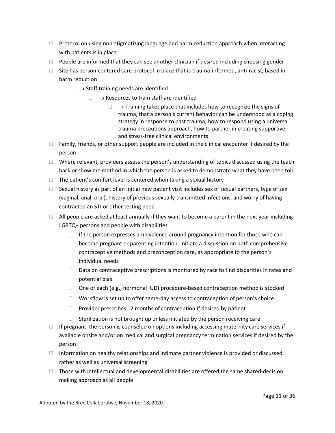- $\Box$  Protocol on using non-stigmatizing language and harm-reduction approach when interacting with patients is in place
- $\Box$  People are informed that they can see another clinician if desired including choosing gender
- $\Box$  Site has person-centered care protocol in place that is trauma-informed, anti-racist, based in harm reduction
	- $\Box \rightarrow$  Staff training needs are identified
		- $\Box \rightarrow$  Resources to train staff are identified
			- $\Box \rightarrow$  Training takes place that includes how to recognize the signs of trauma, that a person's current behavior can be understood as a coping strategy in response to past trauma, how to respond using a universal trauma precautions approach, how to partner in creating supportive and stress-free clinical environments
- $\Box$  Family, friends, or other support people are included in the clinical encounter if desired by the person
- $\Box$  Where relevant, providers assess the person's understanding of topics discussed using the teach back or show me method in which the person is asked to demonstrate what they have been told
- $\Box$  The patient's comfort level is centered when taking a sexual history
- $\Box$  Sexual history as part of an initial new patient visit includes sex of sexual partners, type of sex (vaginal, anal, oral), history of previous sexually transmitted infections, and worry of having contracted an STI or other testing need
- $\Box$  All people are asked at least annually if they want to become a parent in the next year including LGBTQ+ persons and people with disabilities
	- $\Box$  If the person expresses ambivalence around pregnancy intention for those who can become pregnant or parenting intention, initiate a discussion on both comprehensive contraceptive methods and preconception care, as appropriate to the person's individual needs
	- $\Box$  Data on contraceptive prescriptions is monitored by race to find disparities in rates and potential bias
	- $\Box$  One of each (e.g., hormonal IUD) procedure-based contraception method is stocked
	- $\Box$  Workflow is set up to offer same-day access to contraception of person's choice
	- $\Box$  Provider prescribes 12 months of contraception if desired by patient
	- $\Box$  Sterilization is not brought up unless initiated by the person receiving care
- $\Box$  If pregnant, the person is counseled on options including accessing maternity care services if available onsite and/or on medical and surgical pregnancy termination services if desired by the person
- $\Box$  Information on healthy relationships and intimate partner violence is provided or discussed rather as well as universal screening
- $\Box$  Those with intellectual and developmental disabilities are offered the same shared-decision making approach as all people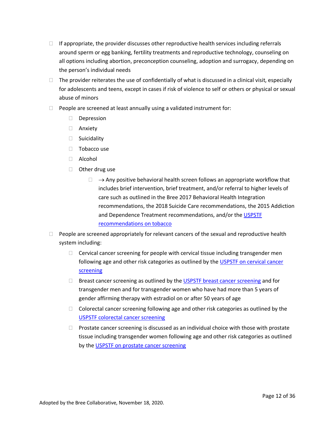- $\Box$  If appropriate, the provider discusses other reproductive health services including referrals around sperm or egg banking, fertility treatments and reproductive technology, counseling on all options including abortion, preconception counseling, adoption and surrogacy, depending on the person's individual needs
- $\Box$  The provider reiterates the use of confidentially of what is discussed in a clinical visit, especially for adolescents and teens, except in cases if risk of violence to self or others or physical or sexual abuse of minors
- $\Box$  People are screened at least annually using a validated instrument for:
	- Depression
	- Anxiety
	- **Suicidality**
	- $\Box$  Tobacco use
	- Alcohol
	- $\Box$  Other drug use
		- $\Box \rightarrow$  Any positive behavioral health screen follows an appropriate workflow that includes brief intervention, brief treatment, and/or referral to higher levels of care such as outlined in the Bree 2017 Behavioral Health Integration recommendations, the 2018 Suicide Care recommendations, the 2015 Addiction and Dependence Treatment recommendations, and/or the [USPSTF](https://www.uspreventiveservicestaskforce.org/uspstf/recommendation/tobacco-use-in-adults-and-pregnant-women-counseling-and-interventions)  [recommendations on tobacco](https://www.uspreventiveservicestaskforce.org/uspstf/recommendation/tobacco-use-in-adults-and-pregnant-women-counseling-and-interventions)
- $\Box$  People are screened appropriately for relevant cancers of the sexual and reproductive health system including:
	- $\Box$  Cervical cancer screening for people with cervical tissue including transgender men following age and other risk categories as outlined by the USPSTF on cervical cancer [screening](https://www.uspreventiveservicestaskforce.org/uspstf/recommendation/cervical-cancer-screening)
	- $\Box$  Breast cancer screening as outlined by the [USPSTF breast cancer screening](https://www.uspreventiveservicestaskforce.org/uspstf/recommendation/breast-cancer-screening#:~:text=The%20USPSTF%20recommends%20biennial%20screening,aged%2050%20to%2074%20years.&text=The%20decision%20to%20start%20screening,should%20be%20an%20individual%20one.) and for transgender men and for transgender women who have had more than 5 years of gender affirming therapy with estradiol on or after 50 years of age
	- $\Box$  Colorectal cancer screening following age and other risk categories as outlined by the [USPSTF colorectal cancer screening](https://www.uspreventiveservicestaskforce.org/uspstf/recommendation/colorectal-cancer-screening)
	- $\Box$  Prostate cancer screening is discussed as an individual choice with those with prostate tissue including transgender women following age and other risk categories as outlined by th[e USPSTF on prostate cancer screening](https://www.uspreventiveservicestaskforce.org/uspstf/recommendation/prostate-cancer-screening)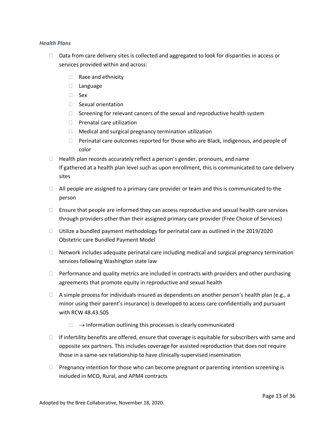#### <span id="page-14-0"></span>*Health Plans*

- $\Box$  Data from care delivery sites is collected and aggregated to look for disparities in access or services provided within and across:
	- $\Box$  Race and ethnicity
	- $\Box$  Language
	- □ Sex
	- $\Box$  Sexual orientation
	- $\Box$  Screening for relevant cancers of the sexual and reproductive health system
	- $\Box$  Prenatal care utilization
	- $\Box$  Medical and surgical pregnancy termination utilization
	- $\Box$  Perinatal care outcomes reported for those who are Black, indigenous, and people of color
- $\Box$  Health plan records accurately reflect a person's gender, pronouns, and name If gathered at a health plan level such as upon enrollment, this is communicated to care delivery sites
- $\Box$  All people are assigned to a primary care provider or team and this is communicated to the person
- $\Box$  Ensure that people are informed they can access reproductive and sexual health care services through providers other than their assigned primary care provider (Free Choice of Services)
- $\Box$  Utilize a bundled payment methodology for perinatal care as outlined in the 2019/2020 Obstetric care Bundled Payment Model
- $\Box$  Network includes adequate perinatal care including medical and surgical pregnancy termination services following Washington state law
- $\Box$  Performance and quality metrics are included in contracts with providers and other purchasing agreements that promote equity in reproductive and sexual health
- $\Box$  A simple process for individuals insured as dependents on another person's health plan (e.g., a minor using their parent's insurance) is developed to access care confidentially and pursuant with RCW 48.43.505
	- $\Box \rightarrow$  Information outlining this processes is clearly communicated
- $\Box$  If infertility benefits are offered, ensure that coverage is equitable for subscribers with same and opposite sex partners. This includes coverage for assisted reproduction that does not require those in a same-sex relationship to have clinically-supervised insemination
- $\Box$  Pregnancy intention for those who can become pregnant or parenting intention screening is included in MCO, Rural, and APM4 contracts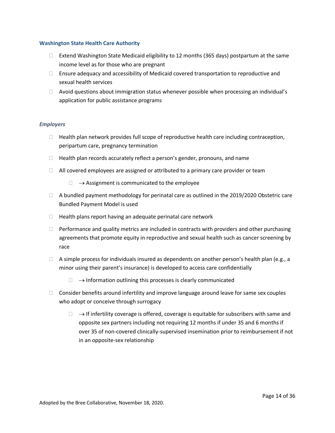## <span id="page-15-0"></span>**Washington State Health Care Authority**

- $\Box$  Extend Washington State Medicaid eligibility to 12 months (365 days) postpartum at the same income level as for those who are pregnant
- $\Box$  Ensure adequacy and accessibility of Medicaid covered transportation to reproductive and sexual health services
- $\Box$  Avoid questions about immigration status whenever possible when processing an individual's application for public assistance programs

## <span id="page-15-1"></span>*Employers*

- $\Box$  Health plan network provides full scope of reproductive health care including contraception, peripartum care, pregnancy termination
- $\Box$  Health plan records accurately reflect a person's gender, pronouns, and name
- $\Box$  All covered employees are assigned or attributed to a primary care provider or team
	- $\Box \rightarrow$  Assignment is communicated to the employee
- $\Box$  A bundled payment methodology for perinatal care as outlined in the 2019/2020 Obstetric care Bundled Payment Model is used
- $\Box$  Health plans report having an adequate perinatal care network
- $\Box$  Performance and quality metrics are included in contracts with providers and other purchasing agreements that promote equity in reproductive and sexual health such as cancer screening by race
- $\Box$  A simple process for individuals insured as dependents on another person's health plan (e.g., a minor using their parent's insurance) is developed to access care confidentially
	- $\Box \rightarrow$  Information outlining this processes is clearly communicated
- $\Box$  Consider benefits around infertility and improve language around leave for same sex couples who adopt or conceive through surrogacy
	- $\Box \rightarrow$  If infertility coverage is offered, coverage is equitable for subscribers with same and opposite sex partners including not requiring 12 months if under 35 and 6 months if over 35 of non-covered clinically-supervised insemination prior to reimbursement if not in an opposite-sex relationship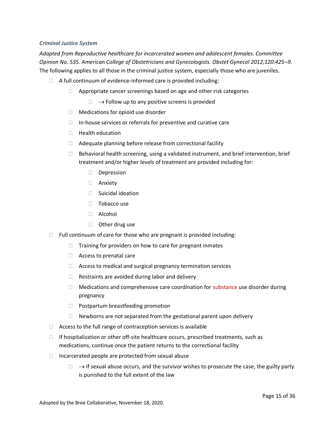### <span id="page-16-0"></span>*Criminal Justice System*

*Adapted from Reproductive healthcare for incarcerated women and adolescent females. Committee Opinion No. 535. American College of Obstetricians and Gynecologists. Obstet Gynecol 2012;120:425–9.* The following applies to all those in the criminal justice system, especially those who are juveniles.

- $\Box$  A full continuum of evidence-informed care is provided including:
	- $\Box$  Appropriate cancer screenings based on age and other risk categories
		- $\Box \rightarrow$  Follow up to any positive screens is provided
	- $\Box$  Medications for opioid use disorder
	- $\Box$  In-house services or referrals for preventive and curative care
	- $\Box$  Health education
	- $\Box$  Adequate planning before release from correctional facility
	- $\Box$  Behavioral health screening, using a validated instrument, and brief intervention, brief treatment and/or higher levels of treatment are provided including for:
		- $\Box$  Depression
		- Anxiety
		- $\Box$  Suicidal ideation
		- $\Box$  Tobacco use
		- Alcohol
		- $\Box$  Other drug use
- $\Box$  Full continuum of care for those who are pregnant is provided including:
	- $\Box$  Training for providers on how to care for pregnant inmates
	- □ Access to prenatal care
	- $\Box$  Access to medical and surgical pregnancy termination services
	- $\Box$  Restraints are avoided during labor and delivery
	- $\Box$  Medications and comprehensive care coordination for substance use disorder during pregnancy
	- $\Box$  Postpartum breastfeeding promotion
	- $\Box$  Newborns are not separated from the gestational parent upon delivery
- $\Box$  Access to the full range of contraception services is available
- $\Box$  If hospitalization or other off-site healthcare occurs, prescribed treatments, such as medications, continue once the patient returns to the correctional facility
- $\Box$  Incarcerated people are protected from sexual abuse
	- $\Box \rightarrow$  If sexual abuse occurs, and the survivor wishes to prosecute the case, the guilty party is punished to the full extent of the law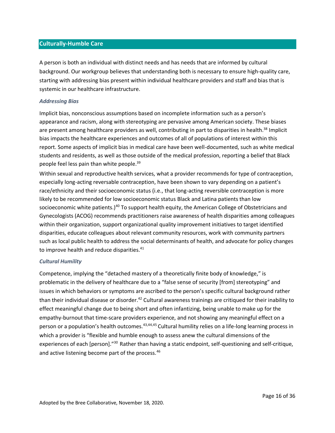## <span id="page-17-0"></span>**Culturally-Humble Care**

A person is both an individual with distinct needs and has needs that are informed by cultural background. Our workgroup believes that understanding both is necessary to ensure high-quality care, starting with addressing bias present within individual healthcare providers and staff and bias that is systemic in our healthcare infrastructure.

#### <span id="page-17-1"></span>*Addressing Bias*

Implicit bias, nonconscious assumptions based on incomplete information such as a person's appearance and racism, along with stereotyping are pervasive among American society. These biases are present among healthcare providers as well, contributing in part to disparities in health.<sup>38</sup> Implicit bias impacts the healthcare experiences and outcomes of all of populations of interest within this report. Some aspects of implicit bias in medical care have been well-documented, such as white medical students and residents, as well as those outside of the medical profession, reporting a belief that Black people feel less pain than white people. 39

Within sexual and reproductive health services, what a provider recommends for type of contraception, especially long-acting reversable contraception, have been shown to vary depending on a patient's race/ethnicity and their socioeconomic status (i.e., that long-acting reversible contraception is more likely to be recommended for low socioeconomic status Black and Latina patients than low socioeconomic white patients.)<sup>40</sup> To support health equity, the American College of Obstetricians and Gynecologists (ACOG) recommends practitioners raise awareness of health disparities among colleagues within their organization, support organizational quality improvement initiatives to target identified disparities, educate colleagues about relevant community resources, work with community partners such as local public health to address the social determinants of health, and advocate for policy changes to improve health and reduce disparities.<sup>41</sup>

#### <span id="page-17-2"></span>*Cultural Humility*

Competence, implying the "detached mastery of a theoretically finite body of knowledge," is problematic in the delivery of healthcare due to a "false sense of security [from] stereotyping" and issues in which behaviors or symptoms are ascribed to the person's specific cultural background rather than their individual disease or disorder.<sup>42</sup> Cultural awareness trainings are critiqued for their inability to effect meaningful change due to being short and often infantizing, being unable to make up for the empathy-burnout that time-scare providers experience, and not showing any meaningful effect on a person or a population's health outcomes.<sup>43,44,45</sup> Cultural humility relies on a life-long learning process in which a provider is "flexible and humble enough to assess anew the cultural dimensions of the experiences of each [person]."<sup>30</sup> Rather than having a static endpoint, self-questioning and self-critique, and active listening become part of the process.<sup>46</sup>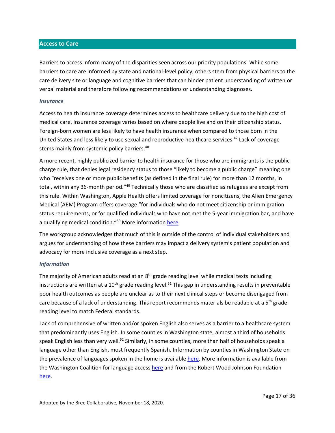## <span id="page-18-0"></span>**Access to Care**

Barriers to access inform many of the disparities seen across our priority populations. While some barriers to care are informed by state and national-level policy, others stem from physical barriers to the care delivery site or language and cognitive barriers that can hinder patient understanding of written or verbal material and therefore following recommendations or understanding diagnoses.

#### <span id="page-18-1"></span>*Insurance*

Access to health insurance coverage determines access to healthcare delivery due to the high cost of medical care. Insurance coverage varies based on where people live and on their citizenship status. Foreign-born women are less likely to have health insurance when compared to those born in the United States and less likely to use sexual and reproductive healthcare services.<sup>47</sup> Lack of coverage stems mainly from systemic policy barriers.<sup>48</sup>

A more recent, highly publicized barrier to health insurance for those who are immigrants is the public charge rule, that denies legal residency status to those "likely to become a public charge" meaning one who "receives one or more public benefits (as defined in the final rule) for more than 12 months, in total, within any 36-month period."<sup>49</sup> Technically those who are classified as refugees are except from this rule. Within Washington, Apple Health offers limited coverage for noncitizens, the Alien Emergency Medical (AEM) Program offers coverage "for individuals who do not meet citizenship or immigration status requirements, or for qualified individuals who have not met the 5-year immigration bar, and have a qualifying medical condition."<sup>50</sup> More information [here.](https://www.hca.wa.gov/health-care-services-supports/apple-health-medicaid-coverage/non-citizens)

The workgroup acknowledges that much of this is outside of the control of individual stakeholders and argues for understanding of how these barriers may impact a delivery system's patient population and advocacy for more inclusive coverage as a next step.

#### <span id="page-18-2"></span>*Information*

The majority of American adults read at an 8<sup>th</sup> grade reading level while medical texts including instructions are written at a  $10<sup>th</sup>$  grade reading level.<sup>51</sup> This gap in understanding results in preventable poor health outcomes as people are unclear as to their next clinical steps or become disengaged from care because of a lack of understanding. This report recommends materials be readable at a  $5<sup>th</sup>$  grade reading level to match Federal standards.

Lack of comprehensive of written and/or spoken English also serves as a barrier to a healthcare system that predominantly uses English. In some counties in Washington state, almost a third of households speak English less than very well.<sup>52</sup> Similarly, in some counties, more than half of households speak a language other than English, most frequently Spanish. Information by counties in Washington State on the prevalence of languages spoken in the home is availabl[e here.](https://www.ofm.wa.gov/washington-data-research/statewide-data/washington-trends/social-economic-conditions/language-spoken-home/languages-spoken-home-mapped-county) More information is available from the Washington Coalition for language acces[s here](https://www.wascla.org/library/attachment.351986) and from the Robert Wood Johnson Foundation [here.](https://www.rwjf.org/en/library/research/2008/06/importance-of-language-services.html)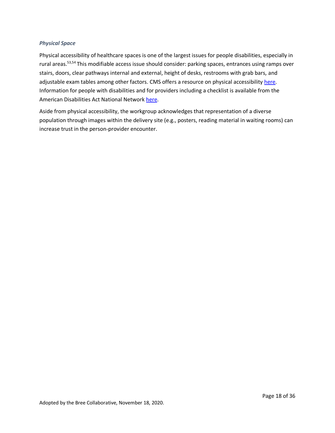## <span id="page-19-0"></span>*Physical Space*

Physical accessibility of healthcare spaces is one of the largest issues for people disabilities, especially in rural areas. 53,54 This modifiable access issue should consider: parking spaces, entrances using ramps over stairs, doors, clear pathways internal and external, height of desks, restrooms with grab bars, and adjustable exam tables among other factors. CMS offers a resource on physical accessibilit[y here.](https://www.cms.gov/About-CMS/Agency-Information/OMH/Downloads/Issue-Brief-Physical-AccessibilityBrief.pdf) Information for people with disabilities and for providers including a checklist is available from the American Disabilities Act National Networ[k here.](https://adata.org/factsheet/accessible-health-care)

Aside from physical accessibility, the workgroup acknowledges that representation of a diverse population through images within the delivery site (e.g., posters, reading material in waiting rooms) can increase trust in the person-provider encounter.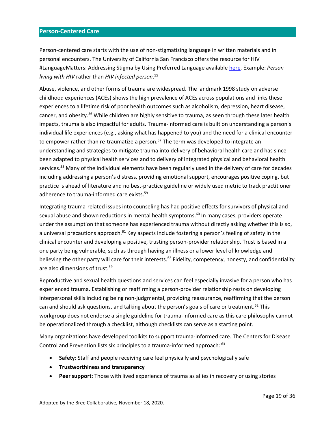## <span id="page-20-0"></span>**Person-Centered Care**

Person-centered care starts with the use of non-stigmatizing language in written materials and in personal encounters. The University of California San Francisco offers the resource for HIV #LanguageMatters: Addressing Stigma by Using Preferred Language available [here.](http://www.hiveonline.org/wp-content/uploads/2016/01/Anti-StigmaSign-Onletter1.pdf) Example: *Person living with HIV* rather than *HIV infected person*. 55

Abuse, violence, and other forms of trauma are widespread. The landmark 1998 study on adverse childhood experiences (ACEs) shows the high prevalence of ACEs across populations and links these experiences to a lifetime risk of poor health outcomes such as alcoholism, depression, heart disease, cancer, and obesity.<sup>56</sup> While children are highly sensitive to trauma, as seen through these later health impacts, trauma is also impactful for adults. Trauma-informed care is built on understanding a person's individual life experiences (e.g., asking what has happened to you) and the need for a clinical encounter to empower rather than re-traumatize a person.<sup>57</sup> The term was developed to integrate an understanding and strategies to mitigate trauma into delivery of behavioral health care and has since been adapted to physical health services and to delivery of integrated physical and behavioral health services.<sup>58</sup> Many of the individual elements have been regularly used in the delivery of care for decades including addressing a person's distress, providing emotional support, encourages positive coping, but practice is ahead of literature and no best-practice guideline or widely used metric to track practitioner adherence to trauma-informed care exists.<sup>59</sup>

Integrating trauma-related issues into counseling has had positive effects for survivors of physical and sexual abuse and shown reductions in mental health symptoms. <sup>60</sup> In many cases, providers operate under the assumption that someone has experienced trauma without directly asking whether this is so, a universal precautions approach.<sup>61</sup> Key aspects include fostering a person's feeling of safety in the clinical encounter and developing a positive, trusting person-provider relationship. Trust is based in a one party being vulnerable, such as through having an illness or a lower level of knowledge and believing the other party will care for their interests.<sup>62</sup> Fidelity, competency, honesty, and confidentiality are also dimensions of trust.<sup>39</sup>

Reproductive and sexual health questions and services can feel especially invasive for a person who has experienced trauma. Establishing or reaffirming a person-provider relationship rests on developing interpersonal skills including being non-judgmental, providing reassurance, reaffirming that the person can and should ask questions, and talking about the person's goals of care or treatment.<sup>62</sup> This workgroup does not endorse a single guideline for trauma-informed care as this care philosophy cannot be operationalized through a checklist, although checklists can serve as a starting point.

Many organizations have developed toolkits to support trauma-informed care. The Centers for Disease Control and Prevention lists six principles to a trauma-informed approach: 63

- **Safety**: Staff and people receiving care feel physically and psychologically safe
- **Trustworthiness and transparency**
- **Peer support**: Those with lived experience of trauma as allies in recovery or using stories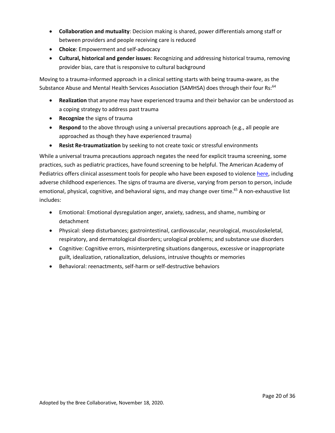- **Collaboration and mutuality**: Decision making is shared, power differentials among staff or between providers and people receiving care is reduced
- **Choice**: Empowerment and self-advocacy
- **Cultural, historical and gender issues**: Recognizing and addressing historical trauma, removing provider bias, care that is responsive to cultural background

Moving to a trauma-informed approach in a clinical setting starts with being trauma-aware, as the Substance Abuse and Mental Health Services Association (SAMHSA) does through their four Rs:<sup>64</sup>

- **Realization** that anyone may have experienced trauma and their behavior can be understood as a coping strategy to address past trauma
- **Recognize** the signs of trauma
- **Respond** to the above through using a universal precautions approach (e.g., all people are approached as though they have experienced trauma)
- **Resist Re-traumatization** by seeking to not create toxic or stressful environments

While a universal trauma precautions approach negates the need for explicit trauma screening, some practices, such as pediatric practices, have found screening to be helpful. The American Academy of Pediatrics offers clinical assessment tools for people who have been exposed to violenc[e here,](https://www.aap.org/en-us/advocacy-and-policy/aap-health-initiatives/resilience/Pages/Clinical-Assessment-Tools.aspx) including adverse childhood experiences. The signs of trauma are diverse, varying from person to person, include emotional, physical, cognitive, and behavioral signs, and may change over time.<sup>65</sup> A non-exhaustive list includes:

- Emotional: Emotional dysregulation anger, anxiety, sadness, and shame, numbing or detachment
- Physical: sleep disturbances; gastrointestinal, cardiovascular, neurological, musculoskeletal, respiratory, and dermatological disorders; urological problems; and substance use disorders
- Cognitive: Cognitive errors, misinterpreting situations dangerous, excessive or inappropriate guilt, idealization, rationalization, delusions, intrusive thoughts or memories
- Behavioral: reenactments, self-harm or self-destructive behaviors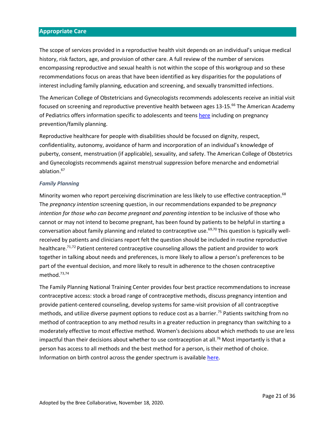## <span id="page-22-0"></span>**Appropriate Care**

The scope of services provided in a reproductive health visit depends on an individual's unique medical history, risk factors, age, and provision of other care. A full review of the number of services encompassing reproductive and sexual health is not within the scope of this workgroup and so these recommendations focus on areas that have been identified as key disparities for the populations of interest including family planning, education and screening, and sexually transmitted infections.

The American College of Obstetricians and Gynecologists recommends adolescents receive an initial visit focused on screening and reproductive preventive health between ages 13-15.<sup>66</sup> The American Academy of Pediatrics offers information specific to adolescents and teens [here](https://www.aap.org/en-us/advocacy-and-policy/aap-health-initiatives/adolescent-sexual-health/Pages/Pregnancy-Prevention.aspx) including on pregnancy prevention/family planning.

Reproductive healthcare for people with disabilities should be focused on dignity, respect, confidentiality, autonomy, avoidance of harm and incorporation of an individual's knowledge of puberty, consent, menstruation (if applicable), sexuality, and safety. The American College of Obstetrics and Gynecologists recommends against menstrual suppression before menarche and endometrial ablation. 67

#### <span id="page-22-1"></span>*Family Planning*

Minority women who report perceiving discrimination are less likely to use effective contraception.<sup>68</sup> The *pregnancy intention* screening question, in our recommendations expanded to be *pregnancy intention for those who can become pregnant and parenting intention* to be inclusive of those who cannot or may not intend to become pregnant, has been found by patients to be helpful in starting a conversation about family planning and related to contraceptive use.<sup>69,70</sup> This question is typically wellreceived by patients and clinicians report felt the question should be included in routine reproductive healthcare.<sup>71,72</sup> Patient centered contraceptive counseling allows the patient and provider to work together in talking about needs and preferences, is more likely to allow a person's preferences to be part of the eventual decision, and more likely to result in adherence to the chosen contraceptive method.73,74

The Family Planning National Training Center provides four best practice recommendations to increase contraceptive access: stock a broad range of contraceptive methods, discuss pregnancy intention and provide patient-centered counseling, develop systems for same-visit provision of all contraceptive methods, and utilize diverse payment options to reduce cost as a barrier. <sup>75</sup> Patients switching from no method of contraception to any method results in a greater reduction in pregnancy than switching to a moderately effective to most effective method. Women's decisions about which methods to use are less impactful than their decisions about whether to use contraception at all.<sup>76</sup> Most importantly is that a person has access to all methods and the best method for a person, is their method of choice. Information on birth control across the gender spectrum is available [here.](https://www.reproductiveaccess.org/resource/birth-control-across-the-gender-spectrum/)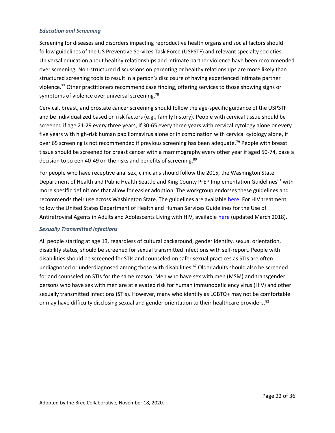### <span id="page-23-0"></span>*Education and Screening*

Screening for diseases and disorders impacting reproductive health organs and social factors should follow guidelines of the US Preventive Services Task Force (USPSTF) and relevant specialty societies. Universal education about healthy relationships and intimate partner violence have been recommended over screening. Non-structured discussions on parenting or healthy relationships are more likely than structured screening tools to result in a person's disclosure of having experienced intimate partner violence. <sup>77</sup> Other practitioners recommend case finding, offering services to those showing signs or symptoms of violence over universal screening.<sup>78</sup>

Cervical, breast, and prostate cancer screening should follow the age-specific guidance of the USPSTF and be individualized based on risk factors (e.g., family history). People with cervical tissue should be screened if age 21-29 every three years, if 30-65 every three years with cervical cytology alone or every five years with high-risk human papillomavirus alone or in combination with cervical cytology alone, if over 65 screening is not recommended if previous screening has been adequate.<sup>79</sup> People with breast tissue should be screened for breast cancer with a mammography every other year if aged 50-74, base a decision to screen 40-49 on the risks and benefits of screening.<sup>80</sup>

For people who have receptive anal sex, clinicians should follow the 2015, the Washington State Department of Health and Public Health Seattle and King County PrEP Implementation Guidelines<sup>81</sup> with more specific definitions that allow for easier adoption. The workgroup endorses these guidelines and recommends their use across Washington State. The guidelines are availabl[e here.](http://www.kingcounty.gov/depts/health/communicable-diseases/hiv-std/patients/~/media/depts/health/communicable-diseases/documents/hivstd/PrEP-implementation-guidelines.ashx) For HIV treatment, follow the United States Department of Health and Human Services Guidelines for the Use of Antiretroviral Agents in Adults and Adolescents Living with HIV, available [here](https://aidsinfo.nih.gov/contentfiles/lvguidelines/adultandadolescentgl.pdf) (updated March 2018).

#### <span id="page-23-1"></span>*Sexually Transmitted Infections*

All people starting at age 13, regardless of cultural background, gender identity, sexual orientation, disability status, should be screened for sexual transmitted infections with self-report. People with disabilities should be screened for STIs and counseled on safer sexual practices as STIs are often undiagnosed or underdiagnosed among those with disabilities. <sup>67</sup> Older adults should also be screened for and counseled on STIs for the same reason. Men who have sex with men (MSM) and transgender persons who have sex with men are at elevated risk for human immunodeficiency virus (HIV) and other sexually transmitted infections (STIs). However, many who identify as LGBTQ+ may not be comfortable or may have difficulty disclosing sexual and gender orientation to their healthcare providers.<sup>82</sup>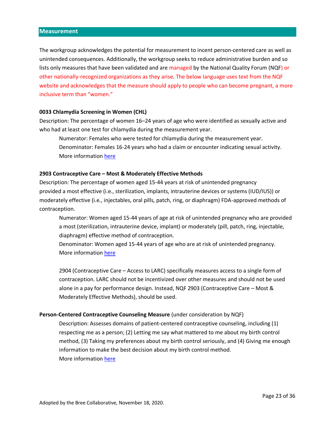<span id="page-24-0"></span>The workgroup acknowledges the potential for measurement to incent person-centered care as well as unintended consequences. Additionally, the workgroup seeks to reduce administrative burden and so lists only measures that have been validated and are managed by the National Quality Forum (NQF) or other nationally-recognized organizations as they arise. The below language uses text from the NQF website and acknowledges that the measure should apply to people who can become pregnant, a more inclusive term than "women."

#### **0033 Chlamydia Screening in Women (CHL)**

Description: The percentage of women 16–24 years of age who were identified as sexually active and who had at least one test for chlamydia during the measurement year.

Numerator: Females who were tested for chlamydia during the measurement year. Denominator: Females 16-24 years who had a claim or encounter indicating sexual activity. More informatio[n here](http://www.qualityforum.org/QPS/QPSTool.aspx#qpsPageState=%7B%22TabType%22%3A1,%22TabContentType%22%3A2,%22SearchCriteriaForStandard%22%3A%7B%22TaxonomyIDs%22%3A%5B%5D,%22SelectedTypeAheadFilterOption%22%3A%7B%22ID%22%3A15134,%22FilterOptionLabel%22%3A%22chlamydia%22,%22TypeOfTypeAheadFilterOption%2)

#### **2903 Contraceptive Care – Most & Moderately Effective Methods**

Description: The percentage of women aged 15-44 years at risk of unintended pregnancy provided a most effective (i.e., sterilization, implants, intrauterine devices or systems (IUD/IUS)) or moderately effective (i.e., injectables, oral pills, patch, ring, or diaphragm) FDA-approved methods of contraception.

Numerator: Women aged 15-44 years of age at risk of unintended pregnancy who are provided a most (sterilization, intrauterine device, implant) or moderately (pill, patch, ring, injectable, diaphragm) effective method of contraception.

Denominator: Women aged 15-44 years of age who are at risk of unintended pregnancy. More informatio[n here](http://www.qualityforum.org/QPS/QPSTool.aspx#qpsPageState=%7B%22TabType%22%3A1,%22TabContentType%22%3A2,%22SearchCriteriaForStandard%22%3A%7B%22TaxonomyIDs%22%3A%5B%5D,%22SelectedTypeAheadFilterOption%22%3A%7B%22ID%22%3A65676,%22FilterOptionLabel%22%3A%22contraceptive+care%22,%22TypeOfTypeAheadFilte)

2904 (Contraceptive Care – Access to LARC) specifically measures access to a single form of contraception. LARC should not be incentivized over other measures and should not be used alone in a pay for performance design. Instead, NQF 2903 (Contraceptive Care – Most & Moderately Effective Methods), should be used.

#### **Person-Centered Contraceptive Counseling Measure** (under consideration by NQF)

Description: Assesses domains of patient-centered contraceptive counseling, including (1) respecting me as a person; (2) Letting me say what mattered to me about my birth control method, (3) Taking my preferences about my birth control seriously, and (4) Giving me enough information to make the best decision about my birth control method. More informatio[n here](https://pcccmeasure.ucsf.edu/)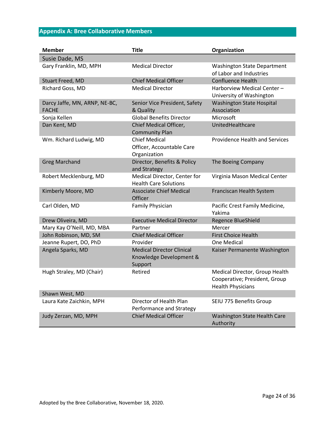# <span id="page-25-0"></span>**Appendix A: Bree Collaborative Members**

| <b>Member</b>                                 | <b>Title</b>                                                           | Organization                                                                                |
|-----------------------------------------------|------------------------------------------------------------------------|---------------------------------------------------------------------------------------------|
| Susie Dade, MS                                |                                                                        |                                                                                             |
| Gary Franklin, MD, MPH                        | <b>Medical Director</b>                                                | <b>Washington State Department</b><br>of Labor and Industries                               |
| Stuart Freed, MD                              | <b>Chief Medical Officer</b>                                           | <b>Confluence Health</b>                                                                    |
| Richard Goss, MD                              | <b>Medical Director</b>                                                | Harborview Medical Center-<br>University of Washington                                      |
| Darcy Jaffe, MN, ARNP, NE-BC,<br><b>FACHE</b> | Senior Vice President, Safety<br>& Quality                             | <b>Washington State Hospital</b><br>Association                                             |
| Sonja Kellen                                  | <b>Global Benefits Director</b>                                        | Microsoft                                                                                   |
| Dan Kent, MD                                  | Chief Medical Officer,<br><b>Community Plan</b>                        | UnitedHealthcare                                                                            |
| Wm. Richard Ludwig, MD                        | <b>Chief Medical</b><br>Officer, Accountable Care<br>Organization      | <b>Providence Health and Services</b>                                                       |
| <b>Greg Marchand</b>                          | Director, Benefits & Policy<br>and Strategy                            | The Boeing Company                                                                          |
| Robert Mecklenburg, MD                        | Medical Director, Center for<br><b>Health Care Solutions</b>           | Virginia Mason Medical Center                                                               |
| Kimberly Moore, MD                            | <b>Associate Chief Medical</b><br>Officer                              | Franciscan Health System                                                                    |
| Carl Olden, MD                                | <b>Family Physician</b>                                                | Pacific Crest Family Medicine,<br>Yakima                                                    |
| Drew Oliveira, MD                             | <b>Executive Medical Director</b>                                      | Regence BlueShield                                                                          |
| Mary Kay O'Neill, MD, MBA                     | Partner                                                                | Mercer                                                                                      |
| John Robinson, MD, SM                         | <b>Chief Medical Officer</b>                                           | <b>First Choice Health</b>                                                                  |
| Jeanne Rupert, DO, PhD                        | Provider                                                               | One Medical                                                                                 |
| Angela Sparks, MD                             | <b>Medical Director Clinical</b><br>Knowledge Development &<br>Support | Kaiser Permanente Washington                                                                |
| Hugh Straley, MD (Chair)                      | Retired                                                                | Medical Director, Group Health<br>Cooperative; President, Group<br><b>Health Physicians</b> |
| Shawn West, MD                                |                                                                        |                                                                                             |
| Laura Kate Zaichkin, MPH                      | Director of Health Plan<br>Performance and Strategy                    | SEIU 775 Benefits Group                                                                     |
| Judy Zerzan, MD, MPH                          | <b>Chief Medical Officer</b>                                           | Washington State Health Care<br>Authority                                                   |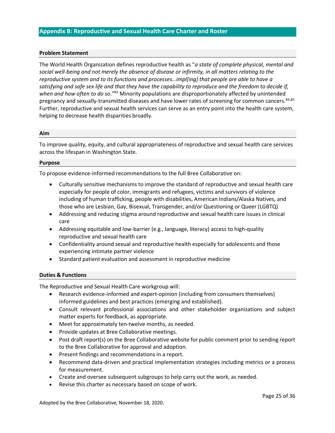#### <span id="page-26-0"></span>**Problem Statement**

The World Health Organization defines reproductive health as "*a state of complete physical, mental and social well-being and not merely the absence of disease or infirmity, in all matters relating to the reproductive system and to its functions and processes…impl[ing] that people are able to have a satisfying and safe sex life and that they have the capability to reproduce and the freedom to decide if, when and how often to do so*."<sup>83</sup> Minority populations are disproportionately affected by unintended pregnancy and sexually-transmitted diseases and have lower rates of screening for common cancers.<sup>84,85</sup> Further, reproductive and sexual health services can serve as an entry point into the health care system, helping to decrease health disparities broadly.

#### **Aim**

To improve quality, equity, and cultural appropriateness of reproductive and sexual health care services across the lifespan in Washington State.

#### **Purpose**

To propose evidence-informed recommendations to the full Bree Collaborative on:

- Culturally sensitive mechanisms to improve the standard of reproductive and sexual health care especially for people of color, immigrants and refugees, victims and survivors of violence including of human trafficking, people with disabilities, American Indians/Alaska Natives, and those who are Lesbian, Gay, Bisexual, Transgender, and/or Questioning or Queer (LGBTQ)
- Addressing and reducing stigma around reproductive and sexual health care issues in clinical care
- Addressing equitable and low-barrier (e.g., language, literacy) access to high-quality reproductive and sexual health care
- Confidentiality around sexual and reproductive health especially for adolescents and those experiencing intimate partner violence
- Standard patient evaluation and assessment in reproductive medicine

#### **Duties & Functions**

The Reproductive and Sexual Health Care workgroup will:

- Research evidence-informed and expert-opinion (including from consumers themselves) informed guidelines and best practices (emerging and established).
- Consult relevant professional associations and other stakeholder organizations and subject matter experts for feedback, as appropriate.
- Meet for approximately ten-twelve months, as needed.
- Provide updates at Bree Collaborative meetings.
- Post draft report(s) on the Bree Collaborative website for public comment prior to sending report to the Bree Collaborative for approval and adoption.
- Present findings and recommendations in a report.
- Recommend data-driven and practical implementation strategies including metrics or a process for measurement.
- Create and oversee subsequent subgroups to help carry out the work, as needed.
- Revise this charter as necessary based on scope of work.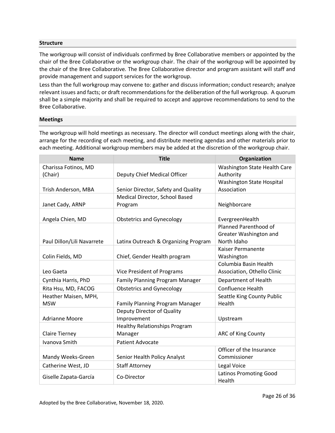#### **Structure**

The workgroup will consist of individuals confirmed by Bree Collaborative members or appointed by the chair of the Bree Collaborative or the workgroup chair. The chair of the workgroup will be appointed by the chair of the Bree Collaborative. The Bree Collaborative director and program assistant will staff and provide management and support services for the workgroup.

Less than the full workgroup may convene to: gather and discuss information; conduct research; analyze relevant issues and facts; or draft recommendations for the deliberation of the full workgroup. A quorum shall be a simple majority and shall be required to accept and approve recommendations to send to the Bree Collaborative.

#### **Meetings**

The workgroup will hold meetings as necessary. The director will conduct meetings along with the chair, arrange for the recording of each meeting, and distribute meeting agendas and other materials prior to each meeting. Additional workgroup members may be added at the discretion of the workgroup chair.

| <b>Name</b>                | <b>Title</b>                           | Organization                            |
|----------------------------|----------------------------------------|-----------------------------------------|
| Charissa Fotinos, MD       |                                        | Washington State Health Care            |
| (Chair)                    | Deputy Chief Medical Officer           | Authority                               |
|                            |                                        | Washington State Hospital               |
| Trish Anderson, MBA        | Senior Director, Safety and Quality    | Association                             |
|                            | Medical Director, School Based         |                                         |
| Janet Cady, ARNP           | Program                                | Neighborcare                            |
|                            |                                        |                                         |
| Angela Chien, MD           | <b>Obstetrics and Gynecology</b>       | EvergreenHealth                         |
|                            |                                        | Planned Parenthood of                   |
|                            |                                        | Greater Washington and                  |
| Paul Dillon/Lili Navarrete | Latinx Outreach & Organizing Program   | North Idaho                             |
|                            |                                        | Kaiser Permanente                       |
| Colin Fields, MD           | Chief, Gender Health program           | Washington                              |
|                            |                                        | Columbia Basin Health                   |
| Leo Gaeta                  | Vice President of Programs             | Association, Othello Clinic             |
| Cynthia Harris, PhD        | <b>Family Planning Program Manager</b> | Department of Health                    |
| Rita Hsu, MD, FACOG        | <b>Obstetrics and Gynecology</b>       | <b>Confluence Health</b>                |
| Heather Maisen, MPH,       |                                        | Seattle King County Public              |
| <b>MSW</b>                 | <b>Family Planning Program Manager</b> | Health                                  |
|                            | Deputy Director of Quality             |                                         |
| Adrianne Moore             | Improvement                            | Upstream                                |
|                            | <b>Healthy Relationships Program</b>   |                                         |
| <b>Claire Tierney</b>      | Manager                                | ARC of King County                      |
| Ivanova Smith              | <b>Patient Advocate</b>                |                                         |
|                            |                                        | Officer of the Insurance                |
| Mandy Weeks-Green          | Senior Health Policy Analyst           | Commissioner                            |
| Catherine West, JD         | <b>Staff Attorney</b>                  | Legal Voice                             |
| Giselle Zapata-García      | Co-Director                            | <b>Latinos Promoting Good</b><br>Health |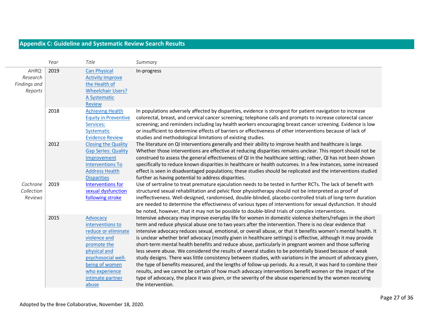# **Appendix C: Guideline and Systematic Review Search Results**

<span id="page-28-0"></span>

|                                              | Year | Title                                                                                                                                                                                     | Summary                                                                                                                                                                                                                                                                                                                                                                                                                                                                                                                                                                                                                                                                                                                                                                                                                                                                                                                                                                                                                                                                                                                                                      |
|----------------------------------------------|------|-------------------------------------------------------------------------------------------------------------------------------------------------------------------------------------------|--------------------------------------------------------------------------------------------------------------------------------------------------------------------------------------------------------------------------------------------------------------------------------------------------------------------------------------------------------------------------------------------------------------------------------------------------------------------------------------------------------------------------------------------------------------------------------------------------------------------------------------------------------------------------------------------------------------------------------------------------------------------------------------------------------------------------------------------------------------------------------------------------------------------------------------------------------------------------------------------------------------------------------------------------------------------------------------------------------------------------------------------------------------|
| AHRQ:<br>Research<br>Findings and<br>Reports | 2019 | <b>Can Physical</b><br><b>Activity Improve</b><br>the Health of<br><b>Wheelchair Users?</b><br>A Systematic<br><b>Review</b>                                                              | In-progress                                                                                                                                                                                                                                                                                                                                                                                                                                                                                                                                                                                                                                                                                                                                                                                                                                                                                                                                                                                                                                                                                                                                                  |
|                                              | 2018 | <b>Achieving Health</b><br><b>Equity in Preventive</b><br>Services:<br>Systematic<br><b>Evidence Review</b>                                                                               | In populations adversely affected by disparities, evidence is strongest for patient navigation to increase<br>colorectal, breast, and cervical cancer screening; telephone calls and prompts to increase colorectal cancer<br>screening; and reminders including lay health workers encouraging breast cancer screening. Evidence is low<br>or insufficient to determine effects of barriers or effectiveness of other interventions because of lack of<br>studies and methodological limitations of existing studies.                                                                                                                                                                                                                                                                                                                                                                                                                                                                                                                                                                                                                                       |
|                                              | 2012 | <b>Closing the Quality</b><br><b>Gap Series: Quality</b><br>Improvement<br><b>Interventions To</b><br><b>Address Health</b><br><b>Disparities</b>                                         | The literature on QI interventions generally and their ability to improve health and healthcare is large.<br>Whether those interventions are effective at reducing disparities remains unclear. This report should not be<br>construed to assess the general effectiveness of QI in the healthcare setting; rather, QI has not been shown<br>specifically to reduce known disparities in healthcare or health outcomes. In a few instances, some increased<br>effect is seen in disadvantaged populations; these studies should be replicated and the interventions studied<br>further as having potential to address disparities.                                                                                                                                                                                                                                                                                                                                                                                                                                                                                                                           |
| Cochrane<br>Collection<br>Reviews            | 2019 | <b>Interventions for</b><br>sexual dysfunction<br>following stroke                                                                                                                        | Use of sertraline to treat premature ejaculation needs to be tested in further RCTs. The lack of benefit with<br>structured sexual rehabilitation and pelvic floor physiotherapy should not be interpreted as proof of<br>ineffectiveness. Well-designed, randomised, double-blinded, placebo-controlled trials of long-term duration<br>are needed to determine the effectiveness of various types of interventions for sexual dysfunction. It should<br>be noted, however, that it may not be possible to double-blind trials of complex interventions.                                                                                                                                                                                                                                                                                                                                                                                                                                                                                                                                                                                                    |
|                                              | 2015 | Advocacy<br>interventions to<br>reduce or eliminate<br>violence and<br>promote the<br>physical and<br>psychosocial well-<br>being of women<br>who experience<br>intimate partner<br>abuse | Intensive advocacy may improve everyday life for women in domestic violence shelters/refuges in the short<br>term and reduce physical abuse one to two years after the intervention. There is no clear evidence that<br>intensive advocacy reduces sexual, emotional, or overall abuse, or that it benefits women's mental health. It<br>is unclear whether brief advocacy (mostly given in healthcare settings) is effective, although it may provide<br>short-term mental health benefits and reduce abuse, particularly in pregnant women and those suffering<br>less severe abuse. We considered the results of several studies to be potentially biased because of weak<br>study designs. There was little consistency between studies, with variations in the amount of advocacy given,<br>the type of benefits measured, and the lengths of follow-up periods. As a result, it was hard to combine their<br>results, and we cannot be certain of how much advocacy interventions benefit women or the impact of the<br>type of advocacy, the place it was given, or the severity of the abuse experienced by the women receiving<br>the intervention. |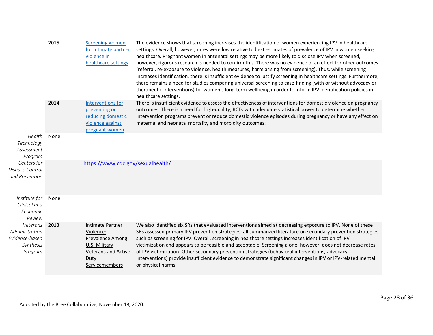|                                                                      | 2015 | <b>Screening women</b><br>for intimate partner<br>violence in<br>healthcare settings                                       | The evidence shows that screening increases the identification of women experiencing IPV in healthcare<br>settings. Overall, however, rates were low relative to best estimates of prevalence of IPV in women seeking<br>healthcare. Pregnant women in antenatal settings may be more likely to disclose IPV when screened,<br>however, rigorous research is needed to confirm this. There was no evidence of an effect for other outcomes<br>(referral, re-exposure to violence, health measures, harm arising from screening). Thus, while screening<br>increases identification, there is insufficient evidence to justify screening in healthcare settings. Furthermore,<br>there remains a need for studies comparing universal screening to case-finding (with or without advocacy or<br>therapeutic interventions) for women's long-term wellbeing in order to inform IPV identification policies in<br>healthcare settings. |
|----------------------------------------------------------------------|------|----------------------------------------------------------------------------------------------------------------------------|-------------------------------------------------------------------------------------------------------------------------------------------------------------------------------------------------------------------------------------------------------------------------------------------------------------------------------------------------------------------------------------------------------------------------------------------------------------------------------------------------------------------------------------------------------------------------------------------------------------------------------------------------------------------------------------------------------------------------------------------------------------------------------------------------------------------------------------------------------------------------------------------------------------------------------------|
|                                                                      | 2014 | Interventions for<br>preventing or<br>reducing domestic<br>violence against<br>pregnant women                              | There is insufficient evidence to assess the effectiveness of interventions for domestic violence on pregnancy<br>outcomes. There is a need for high-quality, RCTs with adequate statistical power to determine whether<br>intervention programs prevent or reduce domestic violence episodes during pregnancy or have any effect on<br>maternal and neonatal mortality and morbidity outcomes.                                                                                                                                                                                                                                                                                                                                                                                                                                                                                                                                     |
| Health<br>Technology<br>Assessment<br>Program                        | None |                                                                                                                            |                                                                                                                                                                                                                                                                                                                                                                                                                                                                                                                                                                                                                                                                                                                                                                                                                                                                                                                                     |
| Centers for<br>Disease Control<br>and Prevention                     |      | https://www.cdc.gov/sexualhealth/                                                                                          |                                                                                                                                                                                                                                                                                                                                                                                                                                                                                                                                                                                                                                                                                                                                                                                                                                                                                                                                     |
| Institute for<br>Clinical and<br>Economic<br>Review                  | None |                                                                                                                            |                                                                                                                                                                                                                                                                                                                                                                                                                                                                                                                                                                                                                                                                                                                                                                                                                                                                                                                                     |
| Veterans<br>Administration<br>Evidence-based<br>Synthesis<br>Program | 2013 | Intimate Partner<br>Violence:<br><b>Prevalence Among</b><br>U.S. Military<br>Veterans and Active<br>Duty<br>Servicemembers | We also identified six SRs that evaluated interventions aimed at decreasing exposure to IPV. None of these<br>SRs assessed primary IPV prevention strategies; all summarized literature on secondary prevention strategies<br>such as screening for IPV. Overall, screening in healthcare settings increases identification of IPV<br>victimization and appears to be feasible and acceptable. Screening alone, however, does not decrease rates<br>of IPV victimization. Other secondary prevention strategies (behavioral interventions, advocacy<br>interventions) provide insufficient evidence to demonstrate significant changes in IPV or IPV-related mental<br>or physical harms.                                                                                                                                                                                                                                           |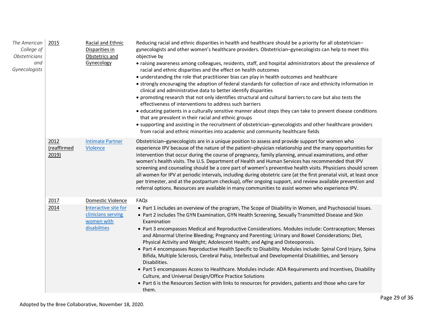| The American<br>College of<br>Obstetricians<br>and<br>Gynecologists | 2015                         | Racial and Ethnic<br>Disparities in<br>Obstetrics and<br>Gynecology      | Reducing racial and ethnic disparities in health and healthcare should be a priority for all obstetrician-<br>gynecologists and other women's healthcare providers. Obstetrician-gynecologists can help to meet this<br>objective by<br>• raising awareness among colleagues, residents, staff, and hospital administrators about the prevalence of<br>racial and ethnic disparities and the effect on health outcomes<br>• understanding the role that practitioner bias can play in health outcomes and healthcare<br>• strongly encouraging the adoption of federal standards for collection of race and ethnicity information in<br>clinical and administrative data to better identify disparities<br>• promoting research that not only identifies structural and cultural barriers to care but also tests the<br>effectiveness of interventions to address such barriers<br>• educating patients in a culturally sensitive manner about steps they can take to prevent disease conditions<br>that are prevalent in their racial and ethnic groups<br>• supporting and assisting in the recruitment of obstetrician-gynecologists and other healthcare providers<br>from racial and ethnic minorities into academic and community healthcare fields |
|---------------------------------------------------------------------|------------------------------|--------------------------------------------------------------------------|-----------------------------------------------------------------------------------------------------------------------------------------------------------------------------------------------------------------------------------------------------------------------------------------------------------------------------------------------------------------------------------------------------------------------------------------------------------------------------------------------------------------------------------------------------------------------------------------------------------------------------------------------------------------------------------------------------------------------------------------------------------------------------------------------------------------------------------------------------------------------------------------------------------------------------------------------------------------------------------------------------------------------------------------------------------------------------------------------------------------------------------------------------------------------------------------------------------------------------------------------------------|
|                                                                     | 2012<br>(reaffirmed<br>2019) | <b>Intimate Partner</b><br>Violence                                      | Obstetrician-gynecologists are in a unique position to assess and provide support for women who<br>experience IPV because of the nature of the patient-physician relationship and the many opportunities for<br>intervention that occur during the course of pregnancy, family planning, annual examinations, and other<br>women's health visits. The U.S. Department of Health and Human Services has recommended that IPV<br>screening and counseling should be a core part of women's preventive health visits. Physicians should screen<br>all women for IPV at periodic intervals, including during obstetric care (at the first prenatal visit, at least once<br>per trimester, and at the postpartum checkup), offer ongoing support, and review available prevention and<br>referral options. Resources are available in many communities to assist women who experience IPV.                                                                                                                                                                                                                                                                                                                                                                     |
|                                                                     | 2017                         | Domestic Violence                                                        | FAQs                                                                                                                                                                                                                                                                                                                                                                                                                                                                                                                                                                                                                                                                                                                                                                                                                                                                                                                                                                                                                                                                                                                                                                                                                                                      |
|                                                                     | 2014                         | Interactive site for<br>clinicians serving<br>women with<br>disabilities | • Part 1 includes an overview of the program, The Scope of Disability in Women, and Psychosocial Issues.<br>• Part 2 includes The GYN Examination, GYN Health Screening, Sexually Transmitted Disease and Skin<br>Examination<br>• Part 3 encompasses Medical and Reproductive Considerations. Modules include: Contraception; Menses<br>and Abnormal Uterine Bleeding; Pregnancy and Parenting; Urinary and Bowel Considerations; Diet,<br>Physical Activity and Weight; Adolescent Health; and Aging and Osteoporosis.<br>• Part 4 encompasses Reproductive Health Specific to Disability. Modules include: Spinal Cord Injury, Spina<br>Bifida, Multiple Sclerosis, Cerebral Palsy, Intellectual and Developmental Disabilities, and Sensory<br>Disabilities.<br>• Part 5 encompasses Access to Healthcare. Modules include: ADA Requirements and Incentives, Disability<br>Culture, and Universal Design/Office Practice Solutions<br>• Part 6 is the Resources Section with links to resources for providers, patients and those who care for<br>them.                                                                                                                                                                                               |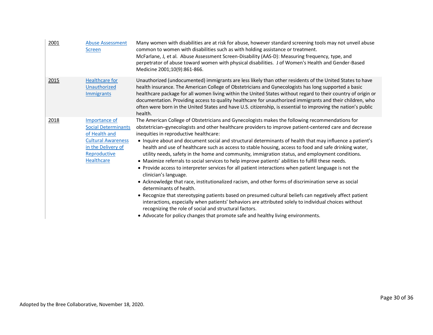| 2001 | <b>Abuse Assessment</b><br>Screen                                                                                                             | Many women with disabilities are at risk for abuse, however standard screening tools may not unveil abuse<br>common to women with disabilities such as with holding assistance or treatment.<br>McFarlane, J, et al. Abuse Assessment Screen-Disability (AAS-D): Measuring frequency, type, and<br>perpetrator of abuse toward women with physical disabilities. J of Women's Health and Gender-Based<br>Medicine 2001;10(9):861-866.                                                                                                                                                                                                                                                                                                                                                                                                                                                                                                                                                                                                                                                                                                                                                                                                                                                                                        |
|------|-----------------------------------------------------------------------------------------------------------------------------------------------|------------------------------------------------------------------------------------------------------------------------------------------------------------------------------------------------------------------------------------------------------------------------------------------------------------------------------------------------------------------------------------------------------------------------------------------------------------------------------------------------------------------------------------------------------------------------------------------------------------------------------------------------------------------------------------------------------------------------------------------------------------------------------------------------------------------------------------------------------------------------------------------------------------------------------------------------------------------------------------------------------------------------------------------------------------------------------------------------------------------------------------------------------------------------------------------------------------------------------------------------------------------------------------------------------------------------------|
| 2015 | <b>Healthcare for</b><br>Unauthorized<br><b>Immigrants</b>                                                                                    | Unauthorized (undocumented) immigrants are less likely than other residents of the United States to have<br>health insurance. The American College of Obstetricians and Gynecologists has long supported a basic<br>healthcare package for all women living within the United States without regard to their country of origin or<br>documentation. Providing access to quality healthcare for unauthorized immigrants and their children, who<br>often were born in the United States and have U.S. citizenship, is essential to improving the nation's public<br>health.                                                                                                                                                                                                                                                                                                                                                                                                                                                                                                                                                                                                                                                                                                                                                   |
| 2018 | Importance of<br><b>Social Determinants</b><br>of Health and<br><b>Cultural Awareness</b><br>in the Delivery of<br>Reproductive<br>Healthcare | The American College of Obstetricians and Gynecologists makes the following recommendations for<br>obstetrician-gynecologists and other healthcare providers to improve patient-centered care and decrease<br>inequities in reproductive healthcare:<br>• Inquire about and document social and structural determinants of health that may influence a patient's<br>health and use of healthcare such as access to stable housing, access to food and safe drinking water,<br>utility needs, safety in the home and community, immigration status, and employment conditions.<br>• Maximize referrals to social services to help improve patients' abilities to fulfill these needs.<br>• Provide access to interpreter services for all patient interactions when patient language is not the<br>clinician's language.<br>• Acknowledge that race, institutionalized racism, and other forms of discrimination serve as social<br>determinants of health.<br>• Recognize that stereotyping patients based on presumed cultural beliefs can negatively affect patient<br>interactions, especially when patients' behaviors are attributed solely to individual choices without<br>recognizing the role of social and structural factors.<br>• Advocate for policy changes that promote safe and healthy living environments. |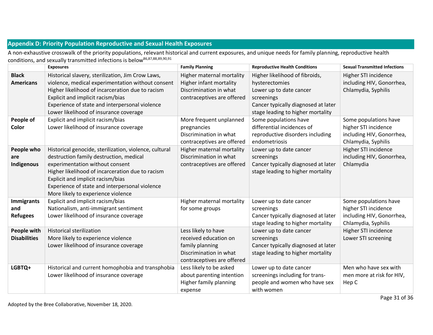# **Appendix D: Priority Population Reproductive and Sexual Health Exposures**

A non-exhaustive crosswalk of the priority populations, relevant historical and current exposures, and unique needs for family planning, reproductive health conditions, and sexually transmitted infections is below<sup>86,87,88,89,90,91</sup>

<span id="page-32-0"></span>

|                                      | <b>Exposures</b>                                                                                                                                                                                                                                                                                                      | <b>Family Planning</b>                                                                                                  | <b>Reproductive Health Conditions</b>                                                                                                                                 | <b>Sexual Transmitted Infections</b>                                                              |  |
|--------------------------------------|-----------------------------------------------------------------------------------------------------------------------------------------------------------------------------------------------------------------------------------------------------------------------------------------------------------------------|-------------------------------------------------------------------------------------------------------------------------|-----------------------------------------------------------------------------------------------------------------------------------------------------------------------|---------------------------------------------------------------------------------------------------|--|
| <b>Black</b><br><b>Americans</b>     | Historical slavery, sterilization, Jim Crow Laws,<br>violence, medical experimentation without consent<br>Higher likelihood of incarceration due to racism<br>Explicit and implicit racism/bias<br>Experience of state and interpersonal violence<br>Lower likelihood of insurance coverage                           | Higher maternal mortality<br>Higher infant mortality<br>Discrimination in what<br>contraceptives are offered            | Higher likelihood of fibroids,<br>hysterectomies<br>Lower up to date cancer<br>screenings<br>Cancer typically diagnosed at later<br>stage leading to higher mortality | Higher STI incidence<br>including HIV, Gonorrhea,<br>Chlamydia, Syphilis                          |  |
| People of<br>Color                   | Explicit and implicit racism/bias<br>Lower likelihood of insurance coverage                                                                                                                                                                                                                                           | More frequent unplanned<br>pregnancies<br>Discrimination in what<br>contraceptives are offered                          | Some populations have<br>differential incidences of<br>reproductive disorders including<br>endometriosis                                                              | Some populations have<br>higher STI incidence<br>including HIV, Gonorrhea,<br>Chlamydia, Syphilis |  |
| People who<br>are<br>Indigenous      | Historical genocide, sterilization, violence, cultural<br>destruction family destruction, medical<br>experimentation without consent<br>Higher likelihood of incarceration due to racism<br>Explicit and implicit racism/bias<br>Experience of state and interpersonal violence<br>More likely to experience violence | Higher maternal mortality<br>Discrimination in what<br>contraceptives are offered                                       | Lower up to date cancer<br>screenings<br>Cancer typically diagnosed at later<br>stage leading to higher mortality                                                     | Higher STI incidence<br>including HIV, Gonorrhea,<br>Chlamydia                                    |  |
| Immigrants<br>and<br><b>Refugees</b> | Explicit and implicit racism/bias<br>Nationalism, anti-immigrant sentiment<br>Lower likelihood of insurance coverage                                                                                                                                                                                                  | Higher maternal mortality<br>for some groups                                                                            | Lower up to date cancer<br>screenings<br>Cancer typically diagnosed at later<br>stage leading to higher mortality                                                     | Some populations have<br>higher STI incidence<br>including HIV, Gonorrhea,<br>Chlamydia, Syphilis |  |
| People with<br><b>Disabilities</b>   | <b>Historical sterilization</b><br>More likely to experience violence<br>Lower likelihood of insurance coverage                                                                                                                                                                                                       | Less likely to have<br>received education on<br>family planning<br>Discrimination in what<br>contraceptives are offered | Lower up to date cancer<br>screenings<br>Cancer typically diagnosed at later<br>stage leading to higher mortality                                                     | Higher STI incidence<br>Lower STI screening                                                       |  |
| LGBTQ+                               | Historical and current homophobia and transphobia<br>Lower likelihood of insurance coverage                                                                                                                                                                                                                           | Less likely to be asked<br>about parenting intention<br>Higher family planning<br>expense                               | Lower up to date cancer<br>screenings including for trans-<br>people and women who have sex<br>with women                                                             | Men who have sex with<br>men more at risk for HIV,<br>Hep C                                       |  |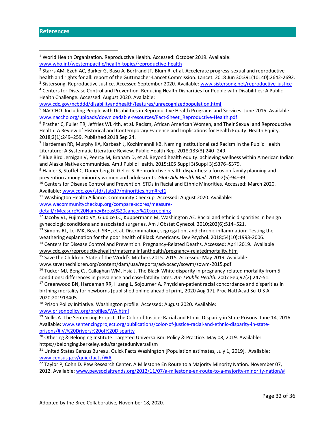<span id="page-33-0"></span><sup>1</sup> World Health Organization. Reproductive Health. Accessed: October 2019. Available: [www.who.int/westernpacific/health-topics/reproductive-health](http://www.who.int/westernpacific/health-topics/reproductive-health) <sup>2</sup> Starrs AM, Ezeh AC, Barker G, Basu A, Bertrand JT, Blum R, et al. Accelerate progress-sexual and reproductive health and rights for all: report of the Guttmacher-Lancet Commission. Lancet. 2018 Jun 30;391(10140):2642-2692. <sup>3</sup> Sistersong. Reproductive Justice. Accessed September 2020. Available[: www.sistersong.net/reproductive-justice](http://www.sistersong.net/reproductive-justice) <sup>4</sup> Centers for Disease Control and Prevention. Reducing Health Disparities for People with Disabilities: A Public Health Challenge. Accessed: August 2020. Available: [www.cdc.gov/ncbddd/disabilityandhealth/features/unrecognizedpopulation.html](http://www.cdc.gov/ncbddd/disabilityandhealth/features/unrecognizedpopulation.html) <sup>5</sup> NACCHO. Including People with Disabilities in Reproductive Health Programs and Services. June 2015. Available: [www.naccho.org/uploads/downloadable-resources/Fact-Sheet\\_Reproductive-Health.pdf](http://www.naccho.org/uploads/downloadable-resources/Fact-Sheet_Reproductive-Health.pdf) <sup>6</sup> Prather C, Fuller TR, Jeffries WL 4th, et al. Racism, African American Women, and Their Sexual and Reproductive Health: A Review of Historical and Contemporary Evidence and Implications for Health Equity. Health Equity. 2018;2(1):249–259. Published 2018 Sep 24. <sup>7</sup> Hardeman RR, Murphy KA, Karbeah J, Kozhimannil KB. Naming Institutionalized Racism in the Public Health Literature: A Systematic Literature Review. Public Health Rep. 2018;133(3):240–249. <sup>8</sup> Blue Bird Jernigan V, Peercy M, Branam D, et al. Beyond health equity: achieving wellness within American Indian and Alaska Native communities. Am J Public Health. 2015;105 Suppl 3(Suppl 3):S376–S379. <sup>9</sup> Haider S, Stoffel C, Donenberg G, Geller S. Reproductive health disparities: a focus on family planning and prevention among minority women and adolescents. *Glob Adv Health Med*. 2013;2(5):94–99. <sup>10</sup> Centers for Disease Control and Prevention. STDs in Racial and Ethnic Minorities. Accessed: March 2020. Available: [www.cdc.gov/std/stats17/minorities.htm#ref1](http://www.cdc.gov/std/stats17/minorities.htm#ref1) <sup>11</sup> Washington Health Alliance. Community Checkup. Accessed: August 2020. Available: [www.wacommunitycheckup.org/compare-scores/measure](http://www.wacommunitycheckup.org/compare-scores/measure-detail/?Measure%20Name=Breast%20cancer%20screening)[detail/?Measure%20Name=Breast%20cancer%20screening](http://www.wacommunitycheckup.org/compare-scores/measure-detail/?Measure%20Name=Breast%20cancer%20screening)  $12$  Jacoby VL, Fujimoto VY, Giudice LC, Kuppermann M, Washington AE. Racial and ethnic disparities in benign gynecologic conditions and associated surgeries. Am J Obstet Gynecol. 2010;202(6):514–521. 13 Simons RL, Lei MK, Beach SRH, et al. Discrimination, segregation, and chronic inflammation: Testing the weathering explanation for the poor health of Black Americans. Dev Psychol. 2018;54(10):1993-2006. <sup>14</sup> Centers for Disease Control and Prevention. Pregnancy-Related Deaths. Accessed: April 2019. Available: [www.cdc.gov/reproductivehealth/maternalinfanthealth/pregnancy-relatedmortality.htm](http://www.cdc.gov/reproductivehealth/maternalinfanthealth/pregnancy-relatedmortality.htm) <sup>15</sup> Save the Children. State of the World's Mothers 2015. 2015. Accessed: May 2019. Available: [www.savethechildren.org/content/dam/usa/reports/advocacy/sowm/sowm-2015.pdf](http://www.savethechildren.org/content/dam/usa/reports/advocacy/sowm/sowm-2015.pdf) <sup>16</sup> Tucker MJ, Berg CJ, Callaghan WM, Hsia J. The Black-White disparity in pregnancy-related mortality from 5 conditions: differences in prevalence and case-fatality rates. *Am J Public Health.* 2007 Feb;97(2):247-51. <sup>17</sup> Greenwood BN, Hardeman RR, Huang L, Sojourner A. Physician-patient racial concordance and disparities in

birthing mortality for newborns [published online ahead of print, 2020 Aug 17]. Proc Natl Acad Sci U S A. 2020;201913405.

<sup>18</sup> Prison Policy Initiative. Washington profile. Accessed: August 2020. Available:

[www.prisonpolicy.org/profiles/WA.html](http://www.prisonpolicy.org/profiles/WA.html)

<sup>19</sup> Nellis A. The Sentencing Project. The Color of Justice: Racial and Ethnic Disparity in State Prisons. June 14, 2016. Available: [www.sentencingproject.org/publications/color-of-justice-racial-and-ethnic-disparity-in-state](http://www.sentencingproject.org/publications/color-of-justice-racial-and-ethnic-disparity-in-state-prisons/#IV.%20Drivers%20of%20Disparity)[prisons/#IV.%20Drivers%20of%20Disparity](http://www.sentencingproject.org/publications/color-of-justice-racial-and-ethnic-disparity-in-state-prisons/#IV.%20Drivers%20of%20Disparity)

<sup>20</sup> Othering & Belonging Institute. Targeted Universalism: Policy & Practice. May 08, 2019. Available: <https://belonging.berkeley.edu/targeteduniversalism>

<sup>21</sup> United States Census Bureau. Quick Facts Washington [Population estimates, July 1, 2019]. Available: [www.census.gov/quickfacts/WA](http://www.census.gov/quickfacts/WA)

<sup>22</sup> Taylor P, Cohn D. Pew Research Center. A Milestone En Route to a Majority Minority Nation. November 07, 2012. Available[: www.pewsocialtrends.org/2012/11/07/a-milestone-en-route-to-a-majority-minority-nation/#](http://www.pewsocialtrends.org/2012/11/07/a-milestone-en-route-to-a-majority-minority-nation/)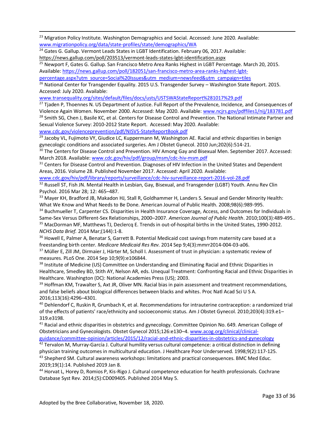<sup>23</sup> Migration Policy Institute. Washington Demographics and Social. Accessed: June 2020. Available: [www.migrationpolicy.org/data/state-profiles/state/demographics/WA](http://www.migrationpolicy.org/data/state-profiles/state/demographics/WA)

<sup>24</sup> Gates G. Gallup. Vermont Leads States in LGBT Identification. February 06, 2017. Available: <https://news.gallup.com/poll/203513/vermont-leads-states-lgbt-identification.aspx>

<sup>25</sup> Newport F, Gates G. Gallup. San Francisco Metro Area Ranks Highest in LGBT Percentage. March 20, 2015. Available: [https://news.gallup.com/poll/182051/san-francisco-metro-area-ranks-highest-lgbt-](https://news.gallup.com/poll/182051/san-francisco-metro-area-ranks-highest-lgbt-percentage.aspx?utm_source=Social%20Issues&utm_medium=newsfeed&utm_campaign=tiles)

[percentage.aspx?utm\\_source=Social%20Issues&utm\\_medium=newsfeed&utm\\_campaign=tiles](https://news.gallup.com/poll/182051/san-francisco-metro-area-ranks-highest-lgbt-percentage.aspx?utm_source=Social%20Issues&utm_medium=newsfeed&utm_campaign=tiles)

<sup>26</sup> National Center for Transgender Equality. 2015 U.S. Transgender Survey – Washington State Report. 2015. Accessed: July 2020. Available:

[www.transequality.org/sites/default/files/docs/usts/USTSWAStateReport%281017%29.pdf](http://www.transequality.org/sites/default/files/docs/usts/USTSWAStateReport%281017%29.pdf)

<sup>27</sup> Tjaden P, Thoennes N. US Department of Justice. Full Report of the Prevalence, Incidence, and Consequences of Violence Again Women. November 2000. Accessed: May 2020. Available: [www.ncjrs.gov/pdffiles1/nij/183781.pdf](http://www.ncjrs.gov/pdffiles1/nij/183781.pdf) <sup>28</sup> Smith SG, Chen J, Basile KC, et al. Centers for Disease Control and Prevention. The National Intimate Partner and Sexual Violence Survey: 2010-2012 State Report. Accessed: May 2020. Available:

[www.cdc.gov/violenceprevention/pdf/NISVS-StateReportBook.pdf](http://www.cdc.gov/violenceprevention/pdf/NISVS-StateReportBook.pdf)

 $^{29}$  Jacoby VL, Fujimoto VY, Giudice LC, Kuppermann M, Washington AE. Racial and ethnic disparities in benign gynecologic conditions and associated surgeries. Am J Obstet Gynecol. 2010 Jun;202(6):514-21.

<sup>30</sup> The Centers for Disease Control and Prevention. HIV Among Gay and Bisexual Men. September 2017. Accessed: March 2018. Available[: www.cdc.gov/hiv/pdf/group/msm/cdc-hiv-msm.pdf](http://www.cdc.gov/hiv/pdf/group/msm/cdc-hiv-msm.pdf)

<sup>31</sup> Centers for Disease Control and Prevention. Diagnoses of HIV Infection in the United States and Dependent Areas, 2016. Volume 28. Published November 2017. Accessed: April 2020. Available:

[www.cdc.gov/hiv/pdf/library/reports/surveillance/cdc-hiv-surveillance-report-2016-vol-28.pdf](http://www.cdc.gov/hiv/pdf/library/reports/surveillance/cdc-hiv-surveillance-report-2016-vol-28.pdf)

32 Russell ST, Fish JN. Mental Health in Lesbian, Gay, Bisexual, and Transgender (LGBT) Youth. Annu Rev Clin Psychol. 2016 Mar 28; 12: 465–487.

<sup>33</sup> Mayer KH, Bradford JB, Makadon HJ, Stall R, Goldhammer H, Landers S. Sexual and Gender Minority Health: What We Know and What Needs to Be Done. American Journal of Public Health. 2008;98(6):989-995.

<sup>34</sup> Buchmueller T, Carpenter CS. Disparities in Health Insurance Coverage, Access, and Outcomes for Individuals in Same-Sex Versus Different-Sex Relationships, 2000–2007. *American Journal of Public Health*. 2010;100(3):489-495.. <sup>35</sup> MacDorman MF, Matthews TJ, Declercq E. Trends in out-of-hospital births in the United States, 1990-2012. *NCHS Data Brief.* 2014 Mar;(144):1-8.

<sup>36</sup> Howell E, Palmer A, Benatar S, Garrett B. Potential Medicaid cost savings from maternity care based at a freestanding birth center. *Medicare Medicaid Res Rev.* 2014 Sep 9;4(3):mmrr2014-004-03-a06.

<sup>37</sup> Müller E, Zill JM, Dirmaier J, Härter M, Scholl I. Assessment of trust in physician: a systematic review of measures. PLoS One. 2014 Sep 10;9(9):e106844.

<sup>38</sup> Institute of Medicine (US) Committee on Understanding and Eliminating Racial and Ethnic Disparities in Healthcare, Smedley BD, Stith AY, Nelson AR, eds. Unequal Treatment: Confronting Racial and Ethnic Disparities in Healthcare. Washington (DC): National Academies Press (US); 2003.

<sup>39</sup> Hoffman KM, Trawalter S, Axt JR, Oliver MN. Racial bias in pain assessment and treatment recommendations, and false beliefs about biological differences between blacks and whites. Proc Natl Acad Sci U S A. 2016;113(16):4296–4301.

<sup>40</sup> Dehlendorf C, Ruskin R, Grumbach K, et al. Recommendations for intrauterine contraception: a randomized trial of the effects of patients' race/ethnicity and socioeconomic status. Am J Obstet Gynecol. 2010;203(4):319.e1– 319.e3198.

<sup>41</sup> Racial and ethnic disparities in obstetrics and gynecology. Committee Opinion No. 649. American College of Obstetricians and Gynecologists. Obstet Gynecol 2015;126:e130–4. [www.acog.org/clinical/clinical](http://www.acog.org/clinical/clinical-guidance/committee-opinion/articles/2015/12/racial-and-ethnic-disparities-in-obstetrics-and-gynecology)[guidance/committee-opinion/articles/2015/12/racial-and-ethnic-disparities-in-obstetrics-and-gynecology](http://www.acog.org/clinical/clinical-guidance/committee-opinion/articles/2015/12/racial-and-ethnic-disparities-in-obstetrics-and-gynecology)

42 Tervalon M, Murray-García J. Cultural humility versus cultural competence: a critical distinction in defining physician training outcomes in multicultural education. J Healthcare Poor Underserved. 1998;9(2):117‐125.

<sup>43</sup> Shepherd SM. Cultural awareness workshops: limitations and practical consequences. BMC Med Educ. 2019;19(1):14. Published 2019 Jan 8.

<sup>44</sup> Horvat L, Horey D, Romios P, Kis-Rigo J. Cultural competence education for health professionals. Cochrane Database Syst Rev. 2014;(5):CD009405. Published 2014 May 5.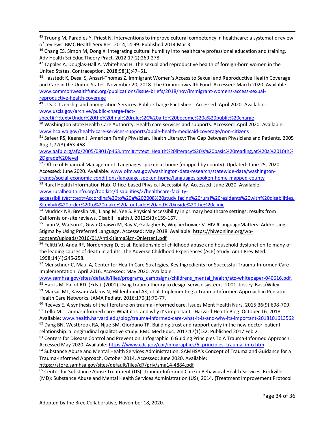45 Truong M, Paradies Y, Priest N. Interventions to improve cultural competency in healthcare: a systematic review of reviews. BMC Health Serv Res. 2014;14:99. Published 2014 Mar 3.

<sup>46</sup> Chang ES, Simon M, Dong X. Integrating cultural humility into healthcare professional education and training. Adv Health Sci Educ Theory Pract. 2012;17(2):269‐278.

 $47$  Tapales A, Douglas-Hall A, Whitehead H. The sexual and reproductive health of foreign-born women in the United States. Contraception. 2018;98(1):47–51.

<sup>48</sup> Hasstedt K, Desai S, Ansari-Thomas Z. Immigrant Women's Access to Sexual and Reproductive Health Coverage and Care in the United States. November 20, 2018. The Commonwealth Fund. Accessed: March 2020. Available: [www.commonwealthfund.org/publications/issue-briefs/2018/nov/immigrant-womens-access-sexual](http://www.commonwealthfund.org/publications/issue-briefs/2018/nov/immigrant-womens-access-sexual-reproductive-health-coverage)[reproductive-health-coverage](http://www.commonwealthfund.org/publications/issue-briefs/2018/nov/immigrant-womens-access-sexual-reproductive-health-coverage)

<sup>49</sup> U.S. Citizenship and Immigration Services. Public Charge Fact Sheet. Accessed: April 2020. Available: [www.uscis.gov/archive/public-charge-fact-](http://www.uscis.gov/archive/public-charge-fact-sheet#:~:text=Under%20the%20final%20rule%2C%20a,to%20become%20a%20public%20charge)

[sheet#:~:text=Under%20the%20final%20rule%2C%20a,to%20become%20a%20public%20charge.](http://www.uscis.gov/archive/public-charge-fact-sheet#:~:text=Under%20the%20final%20rule%2C%20a,to%20become%20a%20public%20charge)

50 Washington State Health Care Authority. Health care services and supports. Accessed: April 2020. Available: [www.hca.wa.gov/health-care-services-supports/apple-health-medicaid-coverage/non-citizens](http://www.hca.wa.gov/health-care-services-supports/apple-health-medicaid-coverage/non-citizens)

51 Safeer RS, Keenan J. American Family Physician. Health Literacy: The Gap Between Physicians and Patients. 2005 Aug 1;72(3):463-468.

[www.aafp.org/afp/2005/0801/p463.html#:~:text=Health%20literacy%20is%20basic%20reading,at%20a%2010th%](http://www.aafp.org/afp/2005/0801/p463.html#:~:text=Health%20literacy%20is%20basic%20reading,at%20a%2010th%2Dgrade%20level) [2Dgrade%20level](http://www.aafp.org/afp/2005/0801/p463.html#:~:text=Health%20literacy%20is%20basic%20reading,at%20a%2010th%2Dgrade%20level)

<sup>52</sup> Office of Financial Management. Languages spoken at home (mapped by county). Updated: June 25, 2020. Accessed: June 2020. Available: [www.ofm.wa.gov/washington-data-research/statewide-data/washington](http://www.ofm.wa.gov/washington-data-research/statewide-data/washington-trends/social-economic-conditions/language-spoken-home/languages-spoken-home-mapped-county)[trends/social-economic-conditions/language-spoken-home/languages-spoken-home-mapped-county](http://www.ofm.wa.gov/washington-data-research/statewide-data/washington-trends/social-economic-conditions/language-spoken-home/languages-spoken-home-mapped-county)

<sup>53</sup> Rural Health Information Hub. Office-based Physical Accessibility. Accessed: June 2020. Available: [www.ruralhealthinfo.org/toolkits/disabilities/2/healthcare-facility-](http://www.ruralhealthinfo.org/toolkits/disabilities/2/healthcare-facility-accessibility#:~:text=According%20to%20a%202008%20study,facing%20rural%20residents%20with%20disabilities.&text=In%20order%20to%20make%20a,outside%20and%20inside%20the%20clinic)

[accessibility#:~:text=According%20to%20a%202008%20study,facing%20rural%20residents%20with%20disabilities.](http://www.ruralhealthinfo.org/toolkits/disabilities/2/healthcare-facility-accessibility#:~:text=According%20to%20a%202008%20study,facing%20rural%20residents%20with%20disabilities.&text=In%20order%20to%20make%20a,outside%20and%20inside%20the%20clinic) [&text=In%20order%20to%20make%20a,outside%20and%20inside%20the%20clinic](http://www.ruralhealthinfo.org/toolkits/disabilities/2/healthcare-facility-accessibility#:~:text=According%20to%20a%202008%20study,facing%20rural%20residents%20with%20disabilities.&text=In%20order%20to%20make%20a,outside%20and%20inside%20the%20clinic)

<sup>54</sup> Mudrick NR, Breslin ML, Liang M, Yee S. Physical accessibility in primary healthcare settings: results from California on-site reviews. Disabil Health J. 2012;5(3):159-167.

<sup>55</sup> Lynn V, Watson C, Giwa-Onaiwu M, Ray V, Gallagher B, Wojciechowicz V. HIV #LanguageMatters: Addressing Stigma by Using Preferred Language. Accessed: May 2018. Available: [https://hiveonline.org/wp](https://hiveonline.org/wp-content/uploads/2016/01/Anti-StigmaSign-Onletter1.pdf)[content/uploads/2016/01/Anti-StigmaSign-Onletter1.pdf](https://hiveonline.org/wp-content/uploads/2016/01/Anti-StigmaSign-Onletter1.pdf)

<sup>56</sup> Felitti VJ, Anda RF, Nordenberg D, et al. Relationship of childhood abuse and household dysfunction to many of the leading causes of death in adults. The Adverse Childhood Experiences (ACE) Study. Am J Prev Med. 1998;14(4):245‐258.

57 Menschner C, Maul A, Center for Health Care Strategies. Key Ingredients for Successful Trauma-Informed Care Implementation. April 2016. Accessed: May 2020. Available:

[www.samhsa.gov/sites/default/files/programs\\_campaigns/childrens\\_mental\\_health/atc-whitepaper-040616.pdf.](http://www.samhsa.gov/sites/default/files/programs_campaigns/childrens_mental_health/atc-whitepaper-040616.pdf.)

<sup>58</sup> Harris M, Fallot RD. (Eds.). (2001).Using trauma theory to design service systems. 2001. Jossey-Bass/Wiley. <sup>59</sup> Marsac ML, Kassam-Adams N, Hildenbrand AK, et al. Implementing a Trauma-Informed Approach in Pediatric Health Care Networks. JAMA Pediatr. 2016;170(1):70-77.

<sup>60</sup> Reeves E. A synthesis of the literature on trauma-informed care. Issues Ment Health Nurs. 2015;36(9):698-709.  $61$  Tello M. Trauma-informed care: What it is, and why it's important. Harvard Health Blog. October 16, 2018.

Available: [www.health.harvard.edu/blog/trauma-informed-care-what-it-is-and-why-its-important-2018101613562](http://www.health.harvard.edu/blog/trauma-informed-care-what-it-is-and-why-its-important-2018101613562)

 $62$  Dang BN, Westbrook RA, Njue SM, Giordano TP. Building trust and rapport early in the new doctor-patient relationship: a longitudinal qualitative study. BMC Med Educ. 2017;17(1):32. Published 2017 Feb 2.

63 Centers for Disease Control and Prevention. Infographic: 6 Guiding Principles To A Trauma-Informed Approach. Accessed May 2020. Available[: https://www.cdc.gov/cpr/infographics/6\\_principles\\_trauma\\_info.htm](https://www.cdc.gov/cpr/infographics/6_principles_trauma_info.htm)

<sup>64</sup> Substance Abuse and Mental Health Services Administration. SAMHSA's Concept of Trauma and Guidance for a Trauma-Informed Approach. October 2014. Accessed: June 2020. Available:

<https://store.samhsa.gov/sites/default/files/d7/priv/sma14-4884.pdf>

<sup>65</sup> Center for Substance Abuse Treatment (US). Trauma-Informed Care in Behavioral Health Services. Rockville (MD): Substance Abuse and Mental Health Services Administration (US); 2014. (Treatment Improvement Protocol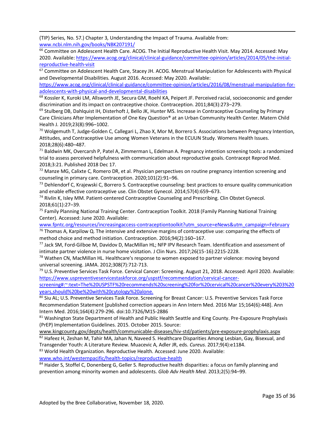(TIP) Series, No. 57.) Chapter 3, Understanding the Impact of Trauma. Available from: [www.ncbi.nlm.nih.gov/books/NBK207191/](http://www.ncbi.nlm.nih.gov/books/NBK207191/)

<sup>66</sup> Committee on Adolescent Health Care. ACOG. The Initial Reproductive Health Visit. May 2014. Accessed: May 2020. Available[: https://www.acog.org/clinical/clinical-guidance/committee-opinion/articles/2014/05/the-initial](https://www.acog.org/clinical/clinical-guidance/committee-opinion/articles/2014/05/the-initial-reproductive-health-visit)[reproductive-health-visit](https://www.acog.org/clinical/clinical-guidance/committee-opinion/articles/2014/05/the-initial-reproductive-health-visit)

<sup>67</sup> Committee on Adolescent Health Care, Stacey JH. ACOG. Menstrual Manipulation for Adolescents with Physical and Developmental Disabilities. August 2016. Accessed: May 2020. Available:

[https://www.acog.org/clinical/clinical-guidance/committee-opinion/articles/2016/08/menstrual-manipulation-for](https://www.acog.org/clinical/clinical-guidance/committee-opinion/articles/2016/08/menstrual-manipulation-for-adolescents-with-physical-and-developmental-disabilities)[adolescents-with-physical-and-developmental-disabilities](https://www.acog.org/clinical/clinical-guidance/committee-opinion/articles/2016/08/menstrual-manipulation-for-adolescents-with-physical-and-developmental-disabilities)

<sup>68</sup> Kossler K, Kuroki LM, Allsworth JE, Secura GM, Roehl KA, Peipert JF. Perceived racial, socioeconomic and gender discrimination and its impact on contraceptive choice. Contraception. 2011;84(3):273–279.

<sup>69</sup> Stulberg DB, Dahlquist IH, Disterhoft J, Bello JK, Hunter MS. Increase in Contraceptive Counseling by Primary Care Clinicians After Implementation of One Key Question® at an Urban Community Health Center. Matern Child Health J. 2019;23(8):996–1002.

<sup>70</sup> Wolgemuth T, Judge-Golden C, Callegari L, Zhao X, Mor M, Borrero S. Associations between Pregnancy Intention, Attitudes, and Contraceptive Use among Women Veterans in the ECUUN Study. Womens Health Issues. 2018;28(6):480–487.

<sup>71</sup> Baldwin MK, Overcarsh P, Patel A, Zimmerman L, Edelman A. Pregnancy intention screening tools: a randomized trial to assess perceived helpfulness with communication about reproductive goals. Contracept Reprod Med. 2018;3:21. Published 2018 Dec 17.

 $72$  Manze MG, Calixte C, Romero DR, et al. Physician perspectives on routine pregnancy intention screening and counseling in primary care. Contraception. 2020;101(2):91–96.

 $<sup>73</sup>$  Dehlendorf C, Krajewski C, Borrero S. Contraceptive counseling: best practices to ensure quality communication</sup> and enable effective contraceptive use. Clin Obstet Gynecol. 2014;57(4):659–673.

<sup>74</sup> Rivlin K, Isley MM. Patient-centered Contraceptive Counseling and Prescribing. Clin Obstet Gynecol. 2018;61(1):27–39.

<sup>75</sup> Family Planning National Training Center. Contraception Toolkit. 2018 (Family Planning National Training Center). Accessed: June 2020. Available:

[www.fpntc.org/resources/increasingaccess-contraceptiontoolkit?utm\\_source=eNews&utm\\_campaign=February](http://www.fpntc.org/resources/increasingaccess-contraceptiontoolkit?utm_source=eNews&utm_campaign=February)  $76$  Thomas A, Karpilow Q. The intensive and extensive margins of contraceptive use: comparing the effects of method choice and method initiation. Contraception. 2016;94(2):160–167.

<sup>77</sup> Jack SM, Ford-Gilboe M, Davidov D, MacMillan HL; NFP IPV Research Team. Identification and assessment of intimate partner violence in nurse home visitation. J Clin Nurs. 2017;26(15-16):2215‐2228.

<sup>78</sup> Wathen CN, MacMillan HL. Healthcare's response to women exposed to partner violence: moving beyond universal screening. JAMA. 2012;308(7):712‐713.

<sup>79</sup> U.S. Preventive Services Task Force. Cervical Cancer: Screening. August 21, 2018. Accessed: April 2020. Available: [https://www.uspreventiveservicestaskforce.org/uspstf/recommendation/cervical-cancer-](https://www.uspreventiveservicestaskforce.org/uspstf/recommendation/cervical-cancer-screening%23:~:text=The%20USPSTF%20recommends%20screening%20for%20cervical%20cancer%20every%203%20years,should%20be%20with%20cytology%20alone.)

[screening#:~:text=The%20USPSTF%20recommends%20screening%20for%20cervical%20cancer%20every%203%20](https://www.uspreventiveservicestaskforce.org/uspstf/recommendation/cervical-cancer-screening%23:~:text=The%20USPSTF%20recommends%20screening%20for%20cervical%20cancer%20every%203%20years,should%20be%20with%20cytology%20alone.) [years,should%20be%20with%20cytology%20alone.](https://www.uspreventiveservicestaskforce.org/uspstf/recommendation/cervical-cancer-screening%23:~:text=The%20USPSTF%20recommends%20screening%20for%20cervical%20cancer%20every%203%20years,should%20be%20with%20cytology%20alone.)

80 Siu AL; U.S. Preventive Services Task Force. Screening for Breast Cancer: U.S. Preventive Services Task Force Recommendation Statement [published correction appears in Ann Intern Med. 2016 Mar 15;164(6):448]. Ann Intern Med. 2016;164(4):279-296. doi:10.7326/M15-2886

81 Washington State Department of Health and Public Health Seattle and King County. Pre-Exposure Prophylaxis (PrEP) Implementation Guidelines. 2015. October 2015. Source:

[www.kingcounty.gov/depts/health/communicable-diseases/hiv-std/patients/pre-exposure-prophylaxis.aspx](http://www.kingcounty.gov/depts/health/communicable-diseases/hiv-std/patients/pre-exposure-prophylaxis.aspx)

82 Hafeez H, Zeshan M, Tahir MA, Jahan N, Naveed S. Healthcare Disparities Among Lesbian, Gay, Bisexual, and Transgender Youth: A Literature Review. Muacevic A, Adler JR, eds. *Cureus*. 2017;9(4):e1184.

83 World Health Organization. Reproductive Health. Accessed: June 2020. Available:

[www.who.int/westernpacific/health-topics/reproductive-health](http://www.who.int/westernpacific/health-topics/reproductive-health)

84 Haider S, Stoffel C, Donenberg G, Geller S. Reproductive health disparities: a focus on family planning and prevention among minority women and adolescents. *Glob Adv Health Med*. 2013;2(5):94–99.